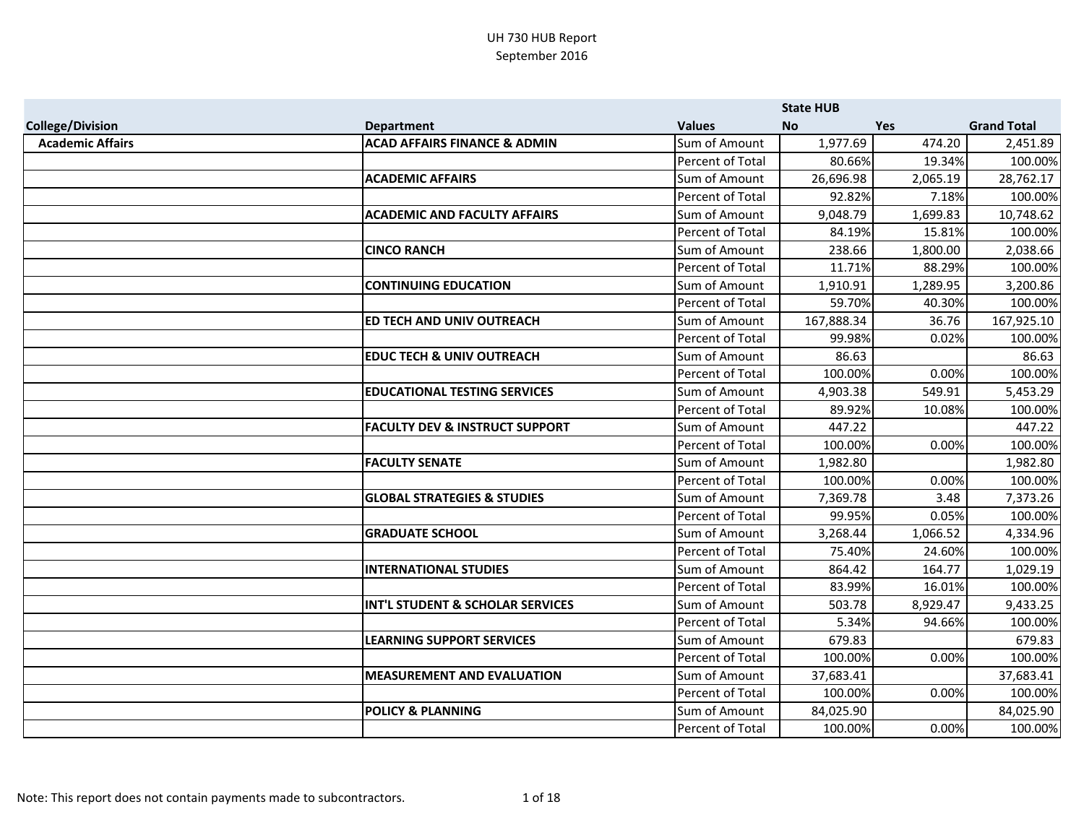|                         |                                           |                         | <b>State HUB</b> |            |                    |
|-------------------------|-------------------------------------------|-------------------------|------------------|------------|--------------------|
| <b>College/Division</b> | <b>Department</b>                         | <b>Values</b>           | <b>No</b>        | <b>Yes</b> | <b>Grand Total</b> |
| <b>Academic Affairs</b> | <b>ACAD AFFAIRS FINANCE &amp; ADMIN</b>   | Sum of Amount           | 1,977.69         | 474.20     | 2,451.89           |
|                         |                                           | Percent of Total        | 80.66%           | 19.34%     | 100.00%            |
|                         | <b>ACADEMIC AFFAIRS</b>                   | Sum of Amount           | 26,696.98        | 2,065.19   | 28,762.17          |
|                         |                                           | Percent of Total        | 92.82%           | 7.18%      | 100.00%            |
|                         | <b>ACADEMIC AND FACULTY AFFAIRS</b>       | Sum of Amount           | 9,048.79         | 1,699.83   | 10,748.62          |
|                         |                                           | Percent of Total        | 84.19%           | 15.81%     | 100.00%            |
|                         | <b>CINCO RANCH</b>                        | Sum of Amount           | 238.66           | 1,800.00   | 2,038.66           |
|                         |                                           | Percent of Total        | 11.71%           | 88.29%     | 100.00%            |
|                         | <b>CONTINUING EDUCATION</b>               | Sum of Amount           | 1,910.91         | 1,289.95   | 3,200.86           |
|                         |                                           | Percent of Total        | 59.70%           | 40.30%     | 100.00%            |
|                         | ED TECH AND UNIV OUTREACH                 | Sum of Amount           | 167,888.34       | 36.76      | 167,925.10         |
|                         |                                           | Percent of Total        | 99.98%           | 0.02%      | 100.00%            |
|                         | <b>EDUC TECH &amp; UNIV OUTREACH</b>      | Sum of Amount           | 86.63            |            | 86.63              |
|                         |                                           | Percent of Total        | 100.00%          | 0.00%      | 100.00%            |
|                         | <b>EDUCATIONAL TESTING SERVICES</b>       | Sum of Amount           | 4,903.38         | 549.91     | 5,453.29           |
|                         |                                           | Percent of Total        | 89.92%           | 10.08%     | 100.00%            |
|                         | <b>FACULTY DEV &amp; INSTRUCT SUPPORT</b> | Sum of Amount           | 447.22           |            | 447.22             |
|                         |                                           | Percent of Total        | 100.00%          | 0.00%      | 100.00%            |
|                         | <b>FACULTY SENATE</b>                     | Sum of Amount           | 1,982.80         |            | 1,982.80           |
|                         |                                           | Percent of Total        | 100.00%          | 0.00%      | 100.00%            |
|                         | <b>GLOBAL STRATEGIES &amp; STUDIES</b>    | Sum of Amount           | 7,369.78         | 3.48       | 7,373.26           |
|                         |                                           | <b>Percent of Total</b> | 99.95%           | 0.05%      | 100.00%            |
|                         | <b>GRADUATE SCHOOL</b>                    | Sum of Amount           | 3,268.44         | 1,066.52   | 4,334.96           |
|                         |                                           | Percent of Total        | 75.40%           | 24.60%     | 100.00%            |
|                         | <b>INTERNATIONAL STUDIES</b>              | Sum of Amount           | 864.42           | 164.77     | 1,029.19           |
|                         |                                           | Percent of Total        | 83.99%           | 16.01%     | 100.00%            |
|                         | INT'L STUDENT & SCHOLAR SERVICES          | Sum of Amount           | 503.78           | 8,929.47   | 9,433.25           |
|                         |                                           | Percent of Total        | 5.34%            | 94.66%     | 100.00%            |
|                         | <b>LEARNING SUPPORT SERVICES</b>          | Sum of Amount           | 679.83           |            | 679.83             |
|                         |                                           | Percent of Total        | 100.00%          | 0.00%      | 100.00%            |
|                         | <b>MEASUREMENT AND EVALUATION</b>         | Sum of Amount           | 37,683.41        |            | 37,683.41          |
|                         |                                           | Percent of Total        | 100.00%          | 0.00%      | 100.00%            |
|                         | <b>POLICY &amp; PLANNING</b>              | Sum of Amount           | 84,025.90        |            | 84,025.90          |
|                         |                                           | Percent of Total        | 100.00%          | 0.00%      | 100.00%            |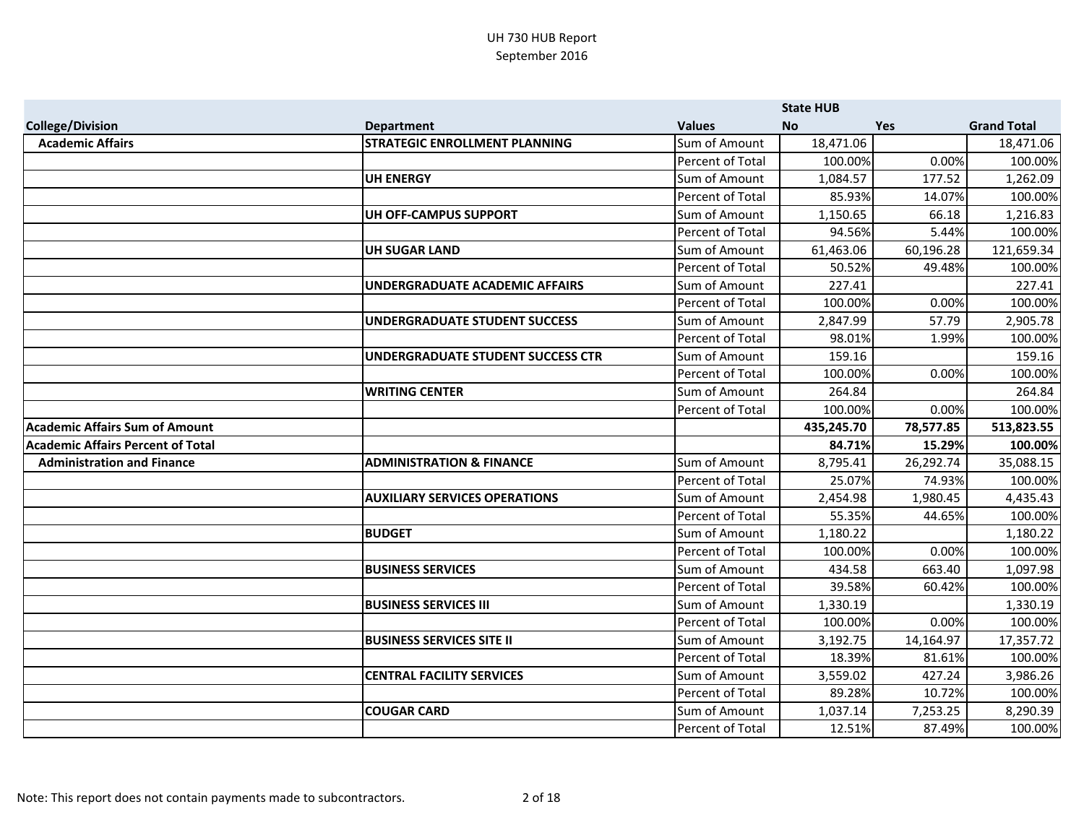|                                          |                                      |                         | <b>State HUB</b>   |           |                     |
|------------------------------------------|--------------------------------------|-------------------------|--------------------|-----------|---------------------|
| <b>College/Division</b>                  | <b>Department</b>                    | <b>Values</b>           | <b>No</b>          | Yes       | <b>Grand Total</b>  |
| <b>Academic Affairs</b>                  | <b>STRATEGIC ENROLLMENT PLANNING</b> | Sum of Amount           | 18,471.06          |           | 18,471.06           |
|                                          |                                      | Percent of Total        | 100.00%            | 0.00%     | 100.00%             |
|                                          | <b>UH ENERGY</b>                     | Sum of Amount           | 1,084.57           | 177.52    | 1,262.09            |
|                                          |                                      | Percent of Total        | 85.93%             | 14.07%    | 100.00%             |
|                                          | UH OFF-CAMPUS SUPPORT                | Sum of Amount           | 1,150.65           | 66.18     | 1,216.83            |
|                                          |                                      | Percent of Total        | 94.56%             | 5.44%     | 100.00%             |
|                                          | <b>UH SUGAR LAND</b>                 | Sum of Amount           | 61,463.06          | 60,196.28 | 121,659.34          |
|                                          |                                      | Percent of Total        | 50.52%             | 49.48%    | 100.00%             |
|                                          | UNDERGRADUATE ACADEMIC AFFAIRS       | Sum of Amount           | 227.41             |           | 227.41              |
|                                          |                                      | Percent of Total        | 100.00%            | 0.00%     | 100.00%             |
|                                          | UNDERGRADUATE STUDENT SUCCESS        | Sum of Amount           | 2,847.99           | 57.79     | 2,905.78            |
|                                          |                                      | Percent of Total        | 98.01%             | 1.99%     | 100.00%             |
|                                          | UNDERGRADUATE STUDENT SUCCESS CTR    | Sum of Amount           | 159.16             |           | 159.16              |
|                                          |                                      | Percent of Total        | 100.00%            | 0.00%     | 100.00%             |
|                                          | <b>WRITING CENTER</b>                | Sum of Amount           | 264.84             |           | 264.84              |
|                                          |                                      | Percent of Total        | 100.00%            | 0.00%     | 100.00%             |
| <b>Academic Affairs Sum of Amount</b>    |                                      |                         | 435,245.70         | 78,577.85 | 513,823.55          |
| <b>Academic Affairs Percent of Total</b> |                                      |                         | 84.71%             | 15.29%    | 100.00%             |
| <b>Administration and Finance</b>        | <b>ADMINISTRATION &amp; FINANCE</b>  | Sum of Amount           | 8,795.41           | 26,292.74 | 35,088.15           |
|                                          |                                      | Percent of Total        | 25.07%             | 74.93%    | 100.00%             |
|                                          | <b>AUXILIARY SERVICES OPERATIONS</b> | Sum of Amount           | 2,454.98           | 1,980.45  | 4,435.43            |
|                                          |                                      | Percent of Total        | 55.35%             | 44.65%    | 100.00%             |
|                                          | <b>BUDGET</b>                        | Sum of Amount           | 1,180.22           |           | 1,180.22            |
|                                          |                                      | <b>Percent of Total</b> | 100.00%            | 0.00%     | 100.00%             |
|                                          | <b>BUSINESS SERVICES</b>             | Sum of Amount           | 434.58             | 663.40    | 1,097.98            |
|                                          |                                      |                         |                    |           |                     |
|                                          |                                      | Percent of Total        | 39.58%             | 60.42%    | 100.00%             |
|                                          | <b>BUSINESS SERVICES III</b>         | Sum of Amount           | 1,330.19           |           | 1,330.19            |
|                                          |                                      | Percent of Total        | 100.00%            | 0.00%     | 100.00%             |
|                                          | <b>BUSINESS SERVICES SITE II</b>     | Sum of Amount           | 3,192.75           | 14,164.97 | 17,357.72           |
|                                          |                                      | Percent of Total        | 18.39%             | 81.61%    | 100.00%             |
|                                          | <b>CENTRAL FACILITY SERVICES</b>     | Sum of Amount           | 3,559.02           | 427.24    | 3,986.26            |
|                                          |                                      | Percent of Total        | 89.28%             | 10.72%    | 100.00%             |
|                                          | <b>COUGAR CARD</b>                   | Sum of Amount           | 1,037.14<br>12.51% | 7,253.25  | 8,290.39<br>100.00% |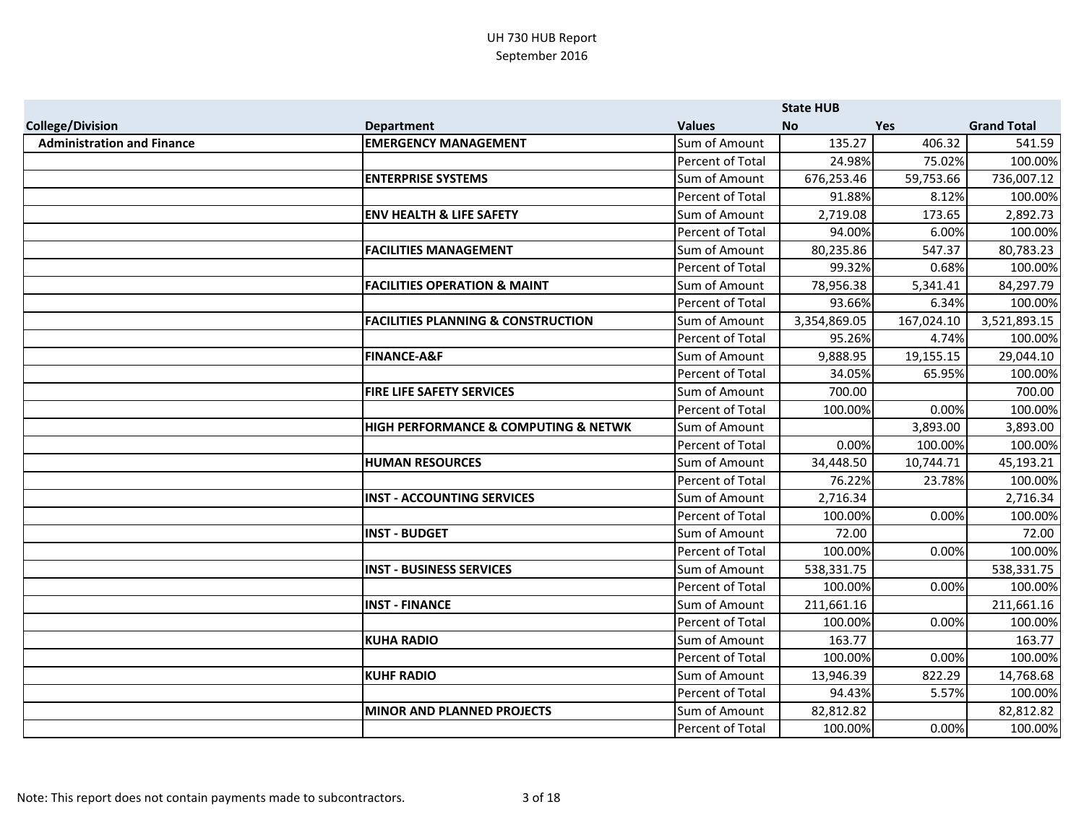|                                   |                                               |                         | <b>State HUB</b> |            |                    |
|-----------------------------------|-----------------------------------------------|-------------------------|------------------|------------|--------------------|
| <b>College/Division</b>           | <b>Department</b>                             | <b>Values</b>           | <b>No</b>        | <b>Yes</b> | <b>Grand Total</b> |
| <b>Administration and Finance</b> | <b>EMERGENCY MANAGEMENT</b>                   | Sum of Amount           | 135.27           | 406.32     | 541.59             |
|                                   |                                               | Percent of Total        | 24.98%           | 75.02%     | 100.00%            |
|                                   | <b>ENTERPRISE SYSTEMS</b>                     | Sum of Amount           | 676,253.46       | 59,753.66  | 736,007.12         |
|                                   |                                               | Percent of Total        | 91.88%           | 8.12%      | 100.00%            |
|                                   | <b>ENV HEALTH &amp; LIFE SAFETY</b>           | Sum of Amount           | 2,719.08         | 173.65     | 2,892.73           |
|                                   |                                               | Percent of Total        | 94.00%           | 6.00%      | 100.00%            |
|                                   | <b>FACILITIES MANAGEMENT</b>                  | Sum of Amount           | 80,235.86        | 547.37     | 80,783.23          |
|                                   |                                               | Percent of Total        | 99.32%           | 0.68%      | 100.00%            |
|                                   | <b>FACILITIES OPERATION &amp; MAINT</b>       | Sum of Amount           | 78,956.38        | 5,341.41   | 84,297.79          |
|                                   |                                               | <b>Percent of Total</b> | 93.66%           | 6.34%      | 100.00%            |
|                                   | <b>FACILITIES PLANNING &amp; CONSTRUCTION</b> | Sum of Amount           | 3,354,869.05     | 167,024.10 | 3,521,893.15       |
|                                   |                                               | Percent of Total        | 95.26%           | 4.74%      | 100.00%            |
|                                   | <b>FINANCE-A&amp;F</b>                        | Sum of Amount           | 9,888.95         | 19,155.15  | 29,044.10          |
|                                   |                                               | Percent of Total        | 34.05%           | 65.95%     | 100.00%            |
|                                   | <b>FIRE LIFE SAFETY SERVICES</b>              | Sum of Amount           | 700.00           |            | 700.00             |
|                                   |                                               | Percent of Total        | 100.00%          | 0.00%      | 100.00%            |
|                                   | HIGH PERFORMANCE & COMPUTING & NETWK          | Sum of Amount           |                  | 3,893.00   | 3,893.00           |
|                                   |                                               | Percent of Total        | 0.00%            | 100.00%    | 100.00%            |
|                                   | <b>HUMAN RESOURCES</b>                        | Sum of Amount           | 34,448.50        | 10,744.71  | 45,193.21          |
|                                   |                                               | Percent of Total        | 76.22%           | 23.78%     | 100.00%            |
|                                   | <b>INST - ACCOUNTING SERVICES</b>             | Sum of Amount           | 2,716.34         |            | 2,716.34           |
|                                   |                                               | Percent of Total        | 100.00%          | 0.00%      | 100.00%            |
|                                   | <b>INST - BUDGET</b>                          | Sum of Amount           | 72.00            |            | 72.00              |
|                                   |                                               | Percent of Total        | 100.00%          | 0.00%      | 100.00%            |
|                                   | <b>INST - BUSINESS SERVICES</b>               | Sum of Amount           | 538,331.75       |            | 538,331.75         |
|                                   |                                               | Percent of Total        | 100.00%          | 0.00%      | 100.00%            |
|                                   | <b>INST - FINANCE</b>                         | Sum of Amount           | 211,661.16       |            | 211,661.16         |
|                                   |                                               | Percent of Total        | 100.00%          | 0.00%      | 100.00%            |
|                                   | <b>KUHA RADIO</b>                             | Sum of Amount           | 163.77           |            | 163.77             |
|                                   |                                               | Percent of Total        | 100.00%          | 0.00%      | 100.00%            |
|                                   | <b>KUHF RADIO</b>                             | Sum of Amount           | 13,946.39        | 822.29     | 14,768.68          |
|                                   |                                               | Percent of Total        | 94.43%           | 5.57%      | 100.00%            |
|                                   | <b>MINOR AND PLANNED PROJECTS</b>             | Sum of Amount           | 82,812.82        |            | 82,812.82          |
|                                   |                                               | Percent of Total        | 100.00%          | 0.00%      | 100.00%            |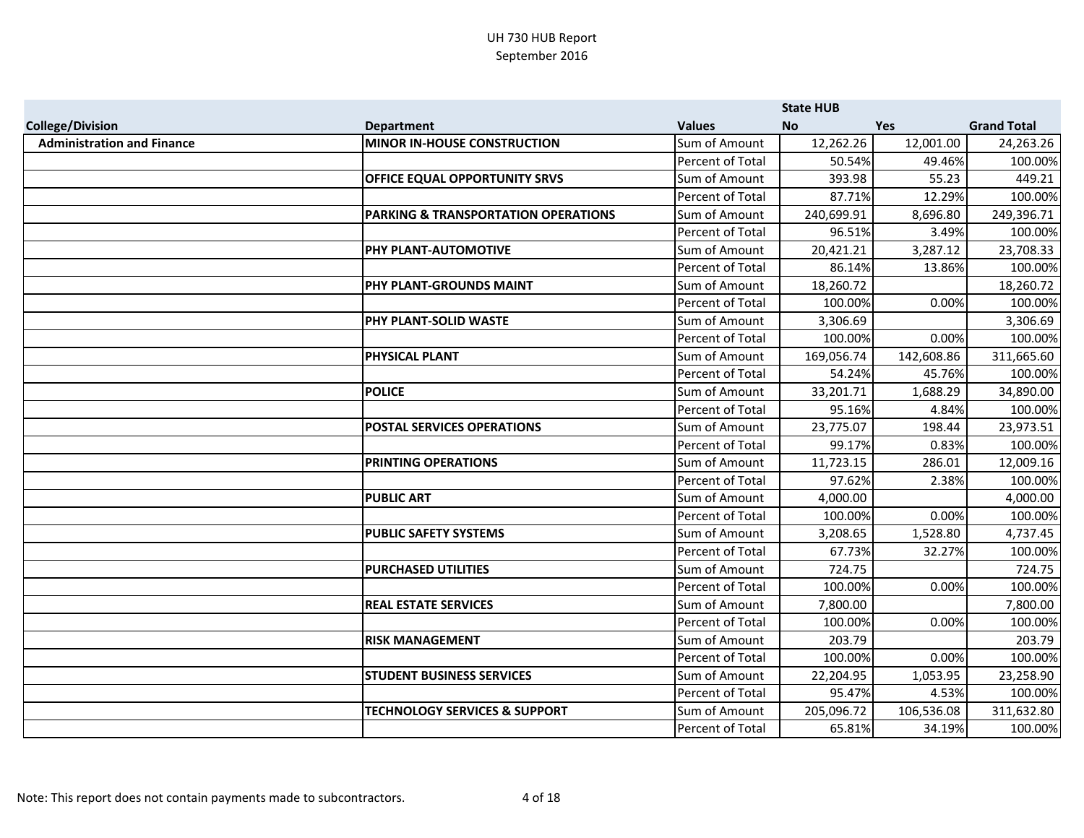|                                   |                                                |                         | <b>State HUB</b> |            |                    |
|-----------------------------------|------------------------------------------------|-------------------------|------------------|------------|--------------------|
| <b>College/Division</b>           | <b>Department</b>                              | <b>Values</b>           | <b>No</b>        | <b>Yes</b> | <b>Grand Total</b> |
| <b>Administration and Finance</b> | <b>MINOR IN-HOUSE CONSTRUCTION</b>             | Sum of Amount           | 12,262.26        | 12,001.00  | 24,263.26          |
|                                   |                                                | Percent of Total        | 50.54%           | 49.46%     | 100.00%            |
|                                   | OFFICE EQUAL OPPORTUNITY SRVS                  | Sum of Amount           | 393.98           | 55.23      | 449.21             |
|                                   |                                                | Percent of Total        | 87.71%           | 12.29%     | 100.00%            |
|                                   | <b>PARKING &amp; TRANSPORTATION OPERATIONS</b> | Sum of Amount           | 240,699.91       | 8,696.80   | 249,396.71         |
|                                   |                                                | Percent of Total        | 96.51%           | 3.49%      | 100.00%            |
|                                   | PHY PLANT-AUTOMOTIVE                           | Sum of Amount           | 20,421.21        | 3,287.12   | 23,708.33          |
|                                   |                                                | Percent of Total        | 86.14%           | 13.86%     | 100.00%            |
|                                   | PHY PLANT-GROUNDS MAINT                        | Sum of Amount           | 18,260.72        |            | 18,260.72          |
|                                   |                                                | Percent of Total        | 100.00%          | 0.00%      | 100.00%            |
|                                   | <b>PHY PLANT-SOLID WASTE</b>                   | Sum of Amount           | 3,306.69         |            | 3,306.69           |
|                                   |                                                | Percent of Total        | 100.00%          | 0.00%      | 100.00%            |
|                                   | <b>PHYSICAL PLANT</b>                          | Sum of Amount           | 169,056.74       | 142,608.86 | 311,665.60         |
|                                   |                                                | Percent of Total        | 54.24%           | 45.76%     | 100.00%            |
|                                   | <b>POLICE</b>                                  | Sum of Amount           | 33,201.71        | 1,688.29   | 34,890.00          |
|                                   |                                                | Percent of Total        | 95.16%           | 4.84%      | 100.00%            |
|                                   | <b>POSTAL SERVICES OPERATIONS</b>              | Sum of Amount           | 23,775.07        | 198.44     | 23,973.51          |
|                                   |                                                | Percent of Total        | 99.17%           | 0.83%      | 100.00%            |
|                                   | <b>PRINTING OPERATIONS</b>                     | Sum of Amount           | 11,723.15        | 286.01     | 12,009.16          |
|                                   |                                                | Percent of Total        | 97.62%           | 2.38%      | 100.00%            |
|                                   | <b>PUBLIC ART</b>                              | Sum of Amount           | 4,000.00         |            | 4,000.00           |
|                                   |                                                | <b>Percent of Total</b> | 100.00%          | 0.00%      | 100.00%            |
|                                   | <b>PUBLIC SAFETY SYSTEMS</b>                   | Sum of Amount           | 3,208.65         | 1,528.80   | 4,737.45           |
|                                   |                                                | Percent of Total        | 67.73%           | 32.27%     | 100.00%            |
|                                   | <b>PURCHASED UTILITIES</b>                     | Sum of Amount           | 724.75           |            | 724.75             |
|                                   |                                                | Percent of Total        | 100.00%          | 0.00%      | 100.00%            |
|                                   | <b>REAL ESTATE SERVICES</b>                    | Sum of Amount           | 7,800.00         |            | 7,800.00           |
|                                   |                                                | Percent of Total        | 100.00%          | 0.00%      | 100.00%            |
|                                   | <b>RISK MANAGEMENT</b>                         | Sum of Amount           | 203.79           |            | 203.79             |
|                                   |                                                | Percent of Total        | 100.00%          | 0.00%      | 100.00%            |
|                                   | <b>STUDENT BUSINESS SERVICES</b>               | Sum of Amount           | 22,204.95        | 1,053.95   | 23,258.90          |
|                                   |                                                | Percent of Total        | 95.47%           | 4.53%      | 100.00%            |
|                                   | <b>TECHNOLOGY SERVICES &amp; SUPPORT</b>       | Sum of Amount           | 205,096.72       | 106,536.08 | 311,632.80         |
|                                   |                                                | Percent of Total        | 65.81%           | 34.19%     | 100.00%            |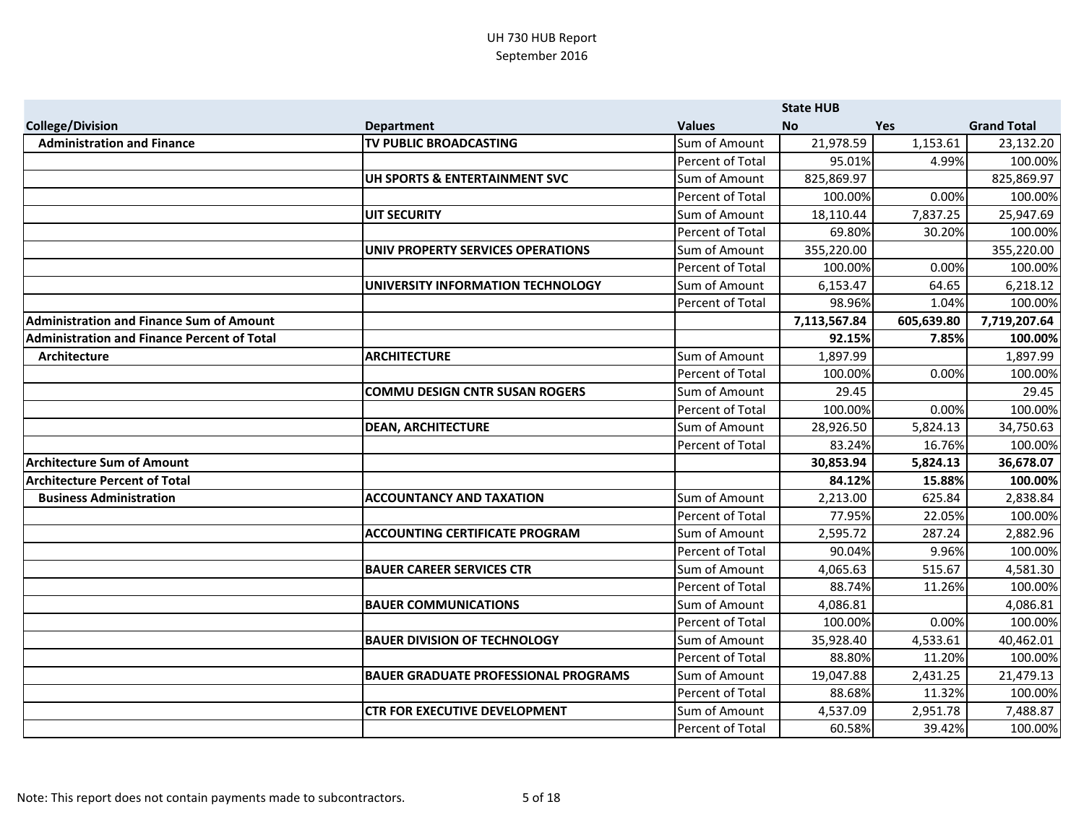|                                                 |                                             |                         | <b>State HUB</b> |            |                    |
|-------------------------------------------------|---------------------------------------------|-------------------------|------------------|------------|--------------------|
| <b>College/Division</b>                         | <b>Department</b>                           | <b>Values</b>           | <b>No</b>        | <b>Yes</b> | <b>Grand Total</b> |
| <b>Administration and Finance</b>               | <b>TV PUBLIC BROADCASTING</b>               | Sum of Amount           | 21,978.59        | 1,153.61   | 23,132.20          |
|                                                 |                                             | Percent of Total        | 95.01%           | 4.99%      | 100.00%            |
|                                                 | UH SPORTS & ENTERTAINMENT SVC               | Sum of Amount           | 825,869.97       |            | 825,869.97         |
|                                                 |                                             | Percent of Total        | 100.00%          | 0.00%      | 100.00%            |
|                                                 | <b>UIT SECURITY</b>                         | Sum of Amount           | 18,110.44        | 7,837.25   | 25,947.69          |
|                                                 |                                             | Percent of Total        | 69.80%           | 30.20%     | 100.00%            |
|                                                 | UNIV PROPERTY SERVICES OPERATIONS           | Sum of Amount           | 355,220.00       |            | 355,220.00         |
|                                                 |                                             | Percent of Total        | 100.00%          | 0.00%      | 100.00%            |
|                                                 | UNIVERSITY INFORMATION TECHNOLOGY           | Sum of Amount           | 6,153.47         | 64.65      | 6,218.12           |
|                                                 |                                             | Percent of Total        | 98.96%           | 1.04%      | 100.00%            |
| <b>Administration and Finance Sum of Amount</b> |                                             |                         | 7,113,567.84     | 605,639.80 | 7,719,207.64       |
| Administration and Finance Percent of Total     |                                             |                         | 92.15%           | 7.85%      | 100.00%            |
| Architecture                                    | <b>ARCHITECTURE</b>                         | Sum of Amount           | 1,897.99         |            | 1,897.99           |
|                                                 |                                             | Percent of Total        | 100.00%          | 0.00%      | 100.00%            |
|                                                 | <b>COMMU DESIGN CNTR SUSAN ROGERS</b>       | Sum of Amount           | 29.45            |            | 29.45              |
|                                                 |                                             | Percent of Total        | 100.00%          | 0.00%      | 100.00%            |
|                                                 | <b>DEAN, ARCHITECTURE</b>                   | Sum of Amount           | 28,926.50        | 5,824.13   | 34,750.63          |
|                                                 |                                             | Percent of Total        | 83.24%           | 16.76%     | 100.00%            |
| <b>Architecture Sum of Amount</b>               |                                             |                         | 30,853.94        | 5,824.13   | 36,678.07          |
| <b>Architecture Percent of Total</b>            |                                             |                         | 84.12%           | 15.88%     | 100.00%            |
| <b>Business Administration</b>                  | <b>ACCOUNTANCY AND TAXATION</b>             | Sum of Amount           | 2,213.00         | 625.84     | 2,838.84           |
|                                                 |                                             | <b>Percent of Total</b> | 77.95%           | 22.05%     | 100.00%            |
|                                                 | <b>ACCOUNTING CERTIFICATE PROGRAM</b>       | Sum of Amount           | 2,595.72         | 287.24     | 2,882.96           |
|                                                 |                                             | Percent of Total        | 90.04%           | 9.96%      | 100.00%            |
|                                                 | <b>BAUER CAREER SERVICES CTR</b>            | Sum of Amount           | 4,065.63         | 515.67     | 4,581.30           |
|                                                 |                                             | Percent of Total        | 88.74%           | 11.26%     | 100.00%            |
|                                                 | <b>BAUER COMMUNICATIONS</b>                 | Sum of Amount           | 4,086.81         |            | 4,086.81           |
|                                                 |                                             | Percent of Total        | 100.00%          | 0.00%      | 100.00%            |
|                                                 | <b>BAUER DIVISION OF TECHNOLOGY</b>         | Sum of Amount           | 35,928.40        | 4,533.61   | 40,462.01          |
|                                                 |                                             | Percent of Total        | 88.80%           | 11.20%     | 100.00%            |
|                                                 | <b>BAUER GRADUATE PROFESSIONAL PROGRAMS</b> | Sum of Amount           | 19,047.88        | 2,431.25   | 21,479.13          |
|                                                 |                                             | Percent of Total        | 88.68%           | 11.32%     | 100.00%            |
|                                                 | <b>CTR FOR EXECUTIVE DEVELOPMENT</b>        | Sum of Amount           | 4,537.09         | 2,951.78   | 7,488.87           |
|                                                 |                                             | Percent of Total        | 60.58%           | 39.42%     | 100.00%            |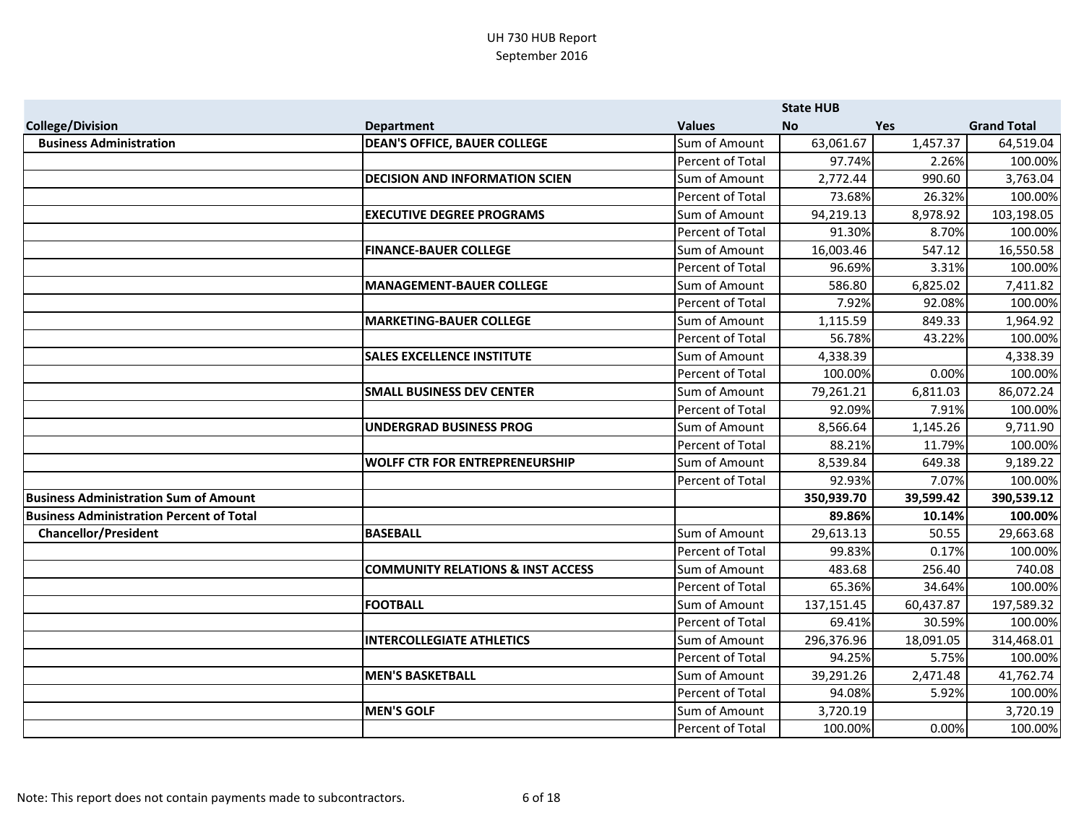|                                                 |                                              |                  | <b>State HUB</b> |            |                    |
|-------------------------------------------------|----------------------------------------------|------------------|------------------|------------|--------------------|
| <b>College/Division</b>                         | <b>Department</b>                            | <b>Values</b>    | <b>No</b>        | <b>Yes</b> | <b>Grand Total</b> |
| <b>Business Administration</b>                  | <b>DEAN'S OFFICE, BAUER COLLEGE</b>          | Sum of Amount    | 63,061.67        | 1,457.37   | 64,519.04          |
|                                                 |                                              | Percent of Total | 97.74%           | 2.26%      | 100.00%            |
|                                                 | <b>DECISION AND INFORMATION SCIEN</b>        | Sum of Amount    | 2,772.44         | 990.60     | 3,763.04           |
|                                                 |                                              | Percent of Total | 73.68%           | 26.32%     | 100.00%            |
|                                                 | <b>EXECUTIVE DEGREE PROGRAMS</b>             | Sum of Amount    | 94,219.13        | 8,978.92   | 103,198.05         |
|                                                 |                                              | Percent of Total | 91.30%           | 8.70%      | 100.00%            |
|                                                 | <b>FINANCE-BAUER COLLEGE</b>                 | Sum of Amount    | 16,003.46        | 547.12     | 16,550.58          |
|                                                 |                                              | Percent of Total | 96.69%           | 3.31%      | 100.00%            |
|                                                 | <b>MANAGEMENT-BAUER COLLEGE</b>              | Sum of Amount    | 586.80           | 6,825.02   | 7,411.82           |
|                                                 |                                              | Percent of Total | 7.92%            | 92.08%     | 100.00%            |
|                                                 | <b>MARKETING-BAUER COLLEGE</b>               | Sum of Amount    | 1,115.59         | 849.33     | 1,964.92           |
|                                                 |                                              | Percent of Total | 56.78%           | 43.22%     | 100.00%            |
|                                                 | <b>SALES EXCELLENCE INSTITUTE</b>            | Sum of Amount    | 4,338.39         |            | 4,338.39           |
|                                                 |                                              | Percent of Total | 100.00%          | 0.00%      | 100.00%            |
|                                                 | <b>SMALL BUSINESS DEV CENTER</b>             | Sum of Amount    | 79,261.21        | 6,811.03   | 86,072.24          |
|                                                 |                                              | Percent of Total | 92.09%           | 7.91%      | 100.00%            |
|                                                 | <b>UNDERGRAD BUSINESS PROG</b>               | Sum of Amount    | 8,566.64         | 1,145.26   | 9,711.90           |
|                                                 |                                              | Percent of Total | 88.21%           | 11.79%     | 100.00%            |
|                                                 | <b>WOLFF CTR FOR ENTREPRENEURSHIP</b>        | Sum of Amount    | 8,539.84         | 649.38     | 9,189.22           |
|                                                 |                                              | Percent of Total | 92.93%           | 7.07%      | 100.00%            |
| <b>Business Administration Sum of Amount</b>    |                                              |                  | 350,939.70       | 39,599.42  | 390,539.12         |
| <b>Business Administration Percent of Total</b> |                                              |                  | 89.86%           | 10.14%     | 100.00%            |
| <b>Chancellor/President</b>                     | <b>BASEBALL</b>                              | Sum of Amount    | 29,613.13        | 50.55      | 29,663.68          |
|                                                 |                                              | Percent of Total | 99.83%           | 0.17%      | 100.00%            |
|                                                 | <b>COMMUNITY RELATIONS &amp; INST ACCESS</b> | Sum of Amount    | 483.68           | 256.40     | 740.08             |
|                                                 |                                              | Percent of Total | 65.36%           | 34.64%     | 100.00%            |
|                                                 | <b>FOOTBALL</b>                              | Sum of Amount    | 137,151.45       | 60,437.87  | 197,589.32         |
|                                                 |                                              | Percent of Total | 69.41%           | 30.59%     | 100.00%            |
|                                                 | <b>INTERCOLLEGIATE ATHLETICS</b>             | Sum of Amount    | 296,376.96       | 18,091.05  | 314,468.01         |
|                                                 |                                              | Percent of Total | 94.25%           | 5.75%      | 100.00%            |
|                                                 | <b>MEN'S BASKETBALL</b>                      | Sum of Amount    | 39,291.26        | 2,471.48   | 41,762.74          |
|                                                 |                                              | Percent of Total | 94.08%           | 5.92%      | 100.00%            |
|                                                 | <b>MEN'S GOLF</b>                            | Sum of Amount    | 3,720.19         |            | 3,720.19           |
|                                                 |                                              | Percent of Total | 100.00%          | 0.00%      | 100.00%            |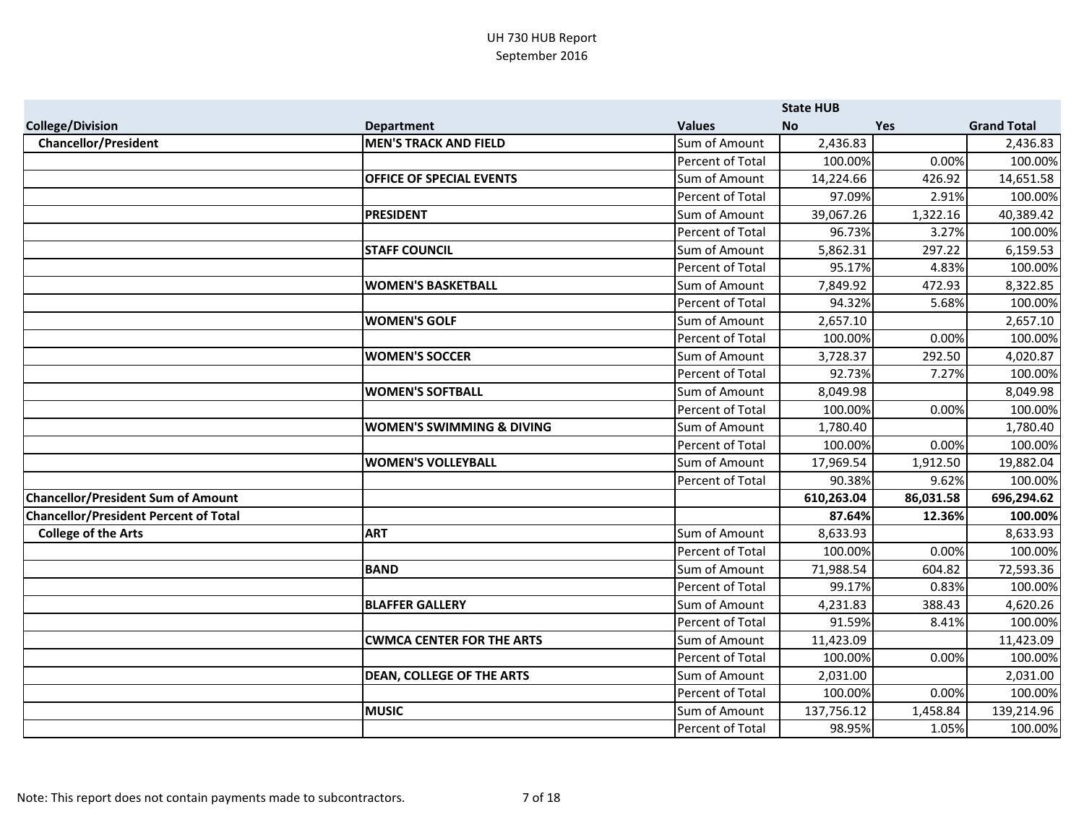|                                              |                                      |                         | <b>State HUB</b> |           |                    |
|----------------------------------------------|--------------------------------------|-------------------------|------------------|-----------|--------------------|
| <b>College/Division</b>                      | <b>Department</b>                    | <b>Values</b>           | <b>No</b>        | Yes       | <b>Grand Total</b> |
| <b>Chancellor/President</b>                  | <b>MEN'S TRACK AND FIELD</b>         | Sum of Amount           | 2,436.83         |           | 2,436.83           |
|                                              |                                      | Percent of Total        | 100.00%          | 0.00%     | 100.00%            |
|                                              | <b>OFFICE OF SPECIAL EVENTS</b>      | Sum of Amount           | 14,224.66        | 426.92    | 14,651.58          |
|                                              |                                      | Percent of Total        | 97.09%           | 2.91%     | 100.00%            |
|                                              | <b>PRESIDENT</b>                     | Sum of Amount           | 39,067.26        | 1,322.16  | 40,389.42          |
|                                              |                                      | <b>Percent of Total</b> | 96.73%           | 3.27%     | 100.00%            |
|                                              | <b>STAFF COUNCIL</b>                 | Sum of Amount           | 5,862.31         | 297.22    | 6,159.53           |
|                                              |                                      | Percent of Total        | 95.17%           | 4.83%     | 100.00%            |
|                                              | <b>WOMEN'S BASKETBALL</b>            | Sum of Amount           | 7,849.92         | 472.93    | 8,322.85           |
|                                              |                                      | Percent of Total        | 94.32%           | 5.68%     | 100.00%            |
|                                              | <b>WOMEN'S GOLF</b>                  | Sum of Amount           | 2,657.10         |           | 2,657.10           |
|                                              |                                      | <b>Percent of Total</b> | 100.00%          | 0.00%     | 100.00%            |
|                                              | <b>WOMEN'S SOCCER</b>                | Sum of Amount           | 3,728.37         | 292.50    | 4,020.87           |
|                                              |                                      | Percent of Total        | 92.73%           | 7.27%     | 100.00%            |
|                                              | <b>WOMEN'S SOFTBALL</b>              | Sum of Amount           | 8,049.98         |           | 8,049.98           |
|                                              |                                      | Percent of Total        | 100.00%          | 0.00%     | 100.00%            |
|                                              | <b>WOMEN'S SWIMMING &amp; DIVING</b> | Sum of Amount           | 1,780.40         |           | 1,780.40           |
|                                              |                                      | Percent of Total        | 100.00%          | 0.00%     | 100.00%            |
|                                              | <b>WOMEN'S VOLLEYBALL</b>            | Sum of Amount           | 17,969.54        | 1,912.50  | 19,882.04          |
|                                              |                                      | Percent of Total        | 90.38%           | 9.62%     | 100.00%            |
| <b>Chancellor/President Sum of Amount</b>    |                                      |                         | 610,263.04       | 86,031.58 | 696,294.62         |
| <b>Chancellor/President Percent of Total</b> |                                      |                         | 87.64%           | 12.36%    | 100.00%            |
| <b>College of the Arts</b>                   | <b>ART</b>                           | Sum of Amount           | 8,633.93         |           | 8,633.93           |
|                                              |                                      | <b>Percent of Total</b> | 100.00%          | 0.00%     | 100.00%            |
|                                              | <b>BAND</b>                          | Sum of Amount           | 71,988.54        | 604.82    | 72,593.36          |
|                                              |                                      | Percent of Total        | 99.17%           | 0.83%     | 100.00%            |
|                                              | <b>BLAFFER GALLERY</b>               | Sum of Amount           | 4,231.83         | 388.43    | 4,620.26           |
|                                              |                                      | Percent of Total        | 91.59%           | 8.41%     | 100.00%            |
|                                              | <b>CWMCA CENTER FOR THE ARTS</b>     | Sum of Amount           | 11,423.09        |           | 11,423.09          |
|                                              |                                      | Percent of Total        | 100.00%          | 0.00%     | 100.00%            |
|                                              | <b>DEAN, COLLEGE OF THE ARTS</b>     | Sum of Amount           | 2,031.00         |           | 2,031.00           |
|                                              |                                      | Percent of Total        | 100.00%          | 0.00%     | 100.00%            |
|                                              | <b>MUSIC</b>                         | Sum of Amount           | 137,756.12       | 1,458.84  | 139,214.96         |
|                                              |                                      | Percent of Total        | 98.95%           | 1.05%     | 100.00%            |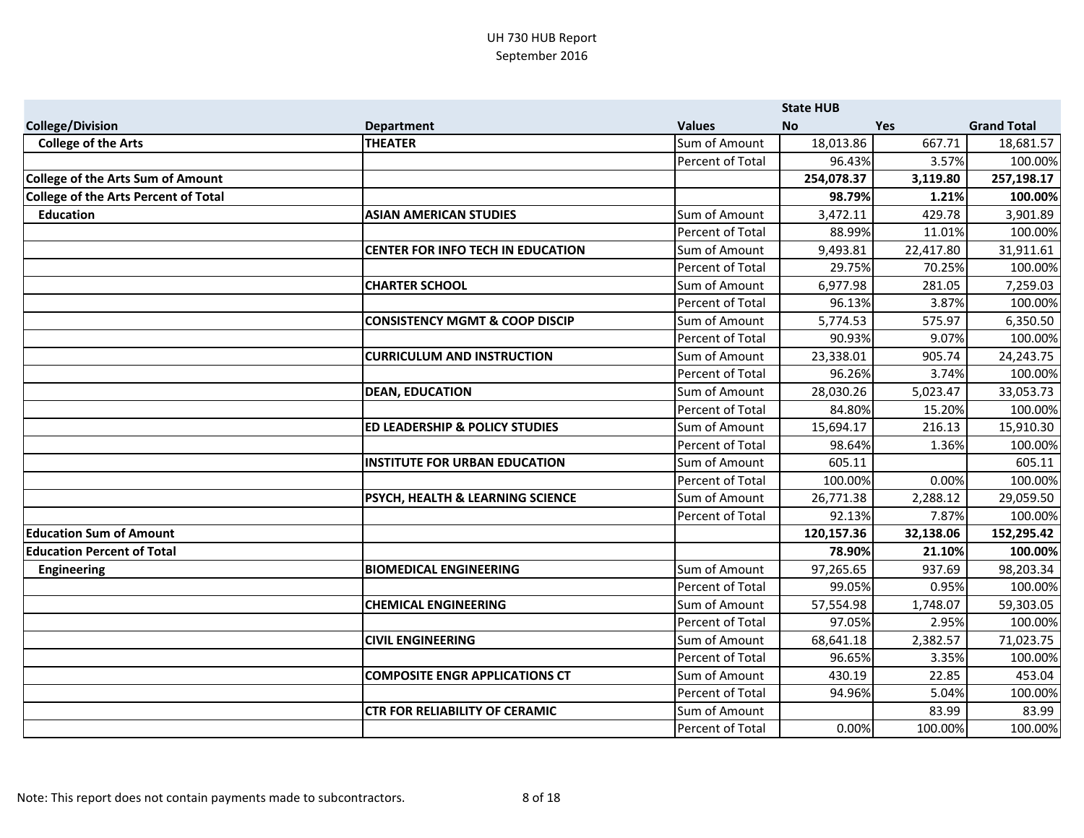|                                      |                                           |                  | <b>State HUB</b> |            |                    |
|--------------------------------------|-------------------------------------------|------------------|------------------|------------|--------------------|
| <b>College/Division</b>              | <b>Department</b>                         | <b>Values</b>    | <b>No</b>        | <b>Yes</b> | <b>Grand Total</b> |
| <b>College of the Arts</b>           | <b>THEATER</b>                            | Sum of Amount    | 18,013.86        | 667.71     | 18,681.57          |
|                                      |                                           | Percent of Total | 96.43%           | 3.57%      | 100.00%            |
| College of the Arts Sum of Amount    |                                           |                  | 254,078.37       | 3,119.80   | 257,198.17         |
| College of the Arts Percent of Total |                                           |                  | 98.79%           | 1.21%      | 100.00%            |
| <b>Education</b>                     | <b>ASIAN AMERICAN STUDIES</b>             | Sum of Amount    | 3,472.11         | 429.78     | 3,901.89           |
|                                      |                                           | Percent of Total | 88.99%           | 11.01%     | 100.00%            |
|                                      | <b>CENTER FOR INFO TECH IN EDUCATION</b>  | Sum of Amount    | 9,493.81         | 22,417.80  | 31,911.61          |
|                                      |                                           | Percent of Total | 29.75%           | 70.25%     | 100.00%            |
|                                      | <b>CHARTER SCHOOL</b>                     | Sum of Amount    | 6,977.98         | 281.05     | 7,259.03           |
|                                      |                                           | Percent of Total | 96.13%           | 3.87%      | 100.00%            |
|                                      | <b>CONSISTENCY MGMT &amp; COOP DISCIP</b> | Sum of Amount    | 5,774.53         | 575.97     | 6,350.50           |
|                                      |                                           | Percent of Total | 90.93%           | 9.07%      | 100.00%            |
|                                      | <b>CURRICULUM AND INSTRUCTION</b>         | Sum of Amount    | 23,338.01        | 905.74     | 24,243.75          |
|                                      |                                           | Percent of Total | 96.26%           | 3.74%      | 100.00%            |
|                                      | <b>DEAN, EDUCATION</b>                    | Sum of Amount    | 28,030.26        | 5,023.47   | 33,053.73          |
|                                      |                                           | Percent of Total | 84.80%           | 15.20%     | 100.00%            |
|                                      | <b>ED LEADERSHIP &amp; POLICY STUDIES</b> | Sum of Amount    | 15,694.17        | 216.13     | 15,910.30          |
|                                      |                                           | Percent of Total | 98.64%           | 1.36%      | 100.00%            |
|                                      | <b>INSTITUTE FOR URBAN EDUCATION</b>      | Sum of Amount    | 605.11           |            | 605.11             |
|                                      |                                           | Percent of Total | 100.00%          | 0.00%      | 100.00%            |
|                                      | PSYCH, HEALTH & LEARNING SCIENCE          | Sum of Amount    | 26,771.38        | 2,288.12   | 29,059.50          |
|                                      |                                           | Percent of Total | 92.13%           | 7.87%      | 100.00%            |
| <b>Education Sum of Amount</b>       |                                           |                  | 120,157.36       | 32,138.06  | 152,295.42         |
| <b>Education Percent of Total</b>    |                                           |                  | 78.90%           | 21.10%     | 100.00%            |
| Engineering                          | <b>BIOMEDICAL ENGINEERING</b>             | Sum of Amount    | 97,265.65        | 937.69     | 98,203.34          |
|                                      |                                           | Percent of Total | 99.05%           | 0.95%      | 100.00%            |
|                                      | <b>CHEMICAL ENGINEERING</b>               | Sum of Amount    | 57,554.98        | 1,748.07   | 59,303.05          |
|                                      |                                           | Percent of Total | 97.05%           | 2.95%      | 100.00%            |
|                                      | <b>CIVIL ENGINEERING</b>                  | Sum of Amount    | 68,641.18        | 2,382.57   | 71,023.75          |
|                                      |                                           | Percent of Total | 96.65%           | 3.35%      | 100.00%            |
|                                      | <b>COMPOSITE ENGR APPLICATIONS CT</b>     | Sum of Amount    | 430.19           | 22.85      | 453.04             |
|                                      |                                           | Percent of Total | 94.96%           | 5.04%      | 100.00%            |
|                                      | <b>CTR FOR RELIABILITY OF CERAMIC</b>     | Sum of Amount    |                  | 83.99      | 83.99              |
|                                      |                                           | Percent of Total | 0.00%            | 100.00%    | 100.00%            |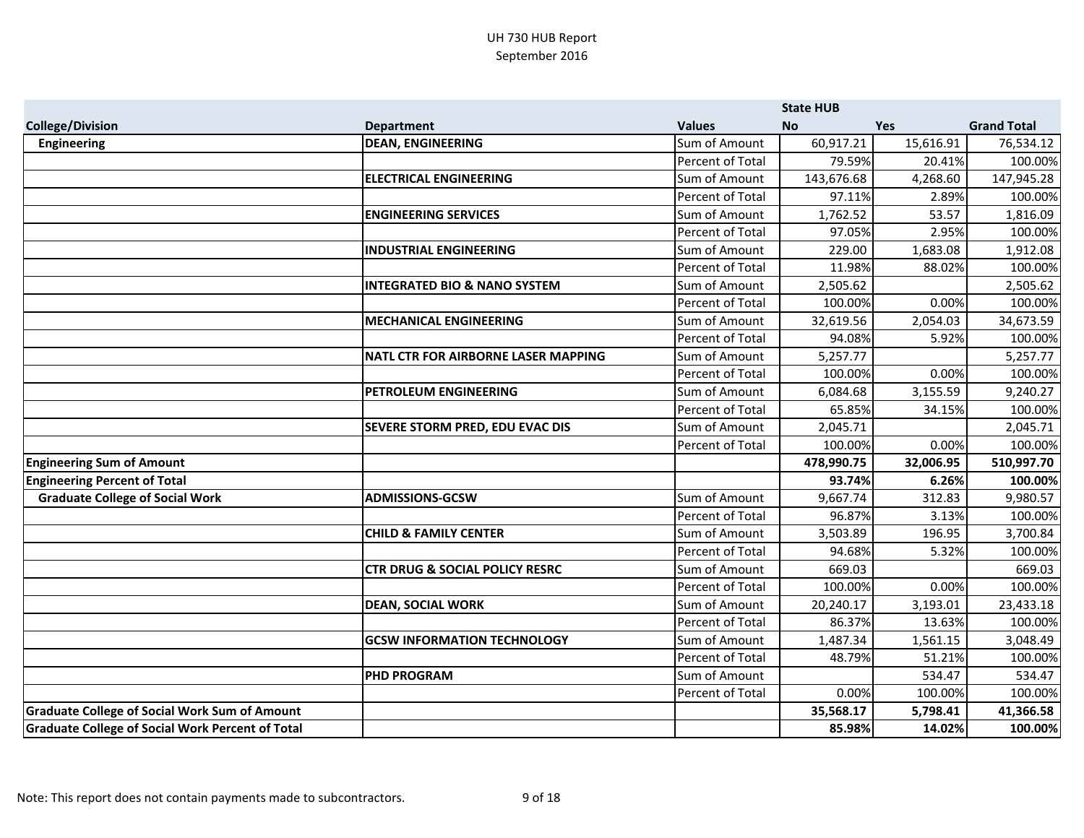|                                                         |                                            |                         | <b>State HUB</b> |            |                    |
|---------------------------------------------------------|--------------------------------------------|-------------------------|------------------|------------|--------------------|
| <b>College/Division</b>                                 | <b>Department</b>                          | <b>Values</b>           | <b>No</b>        | <b>Yes</b> | <b>Grand Total</b> |
| <b>Engineering</b>                                      | <b>DEAN, ENGINEERING</b>                   | Sum of Amount           | 60,917.21        | 15,616.91  | 76,534.12          |
|                                                         |                                            | Percent of Total        | 79.59%           | 20.41%     | 100.00%            |
|                                                         | <b>ELECTRICAL ENGINEERING</b>              | Sum of Amount           | 143,676.68       | 4,268.60   | 147,945.28         |
|                                                         |                                            | Percent of Total        | 97.11%           | 2.89%      | 100.00%            |
|                                                         | <b>ENGINEERING SERVICES</b>                | Sum of Amount           | 1,762.52         | 53.57      | 1,816.09           |
|                                                         |                                            | <b>Percent of Total</b> | 97.05%           | 2.95%      | 100.00%            |
|                                                         | <b>INDUSTRIAL ENGINEERING</b>              | Sum of Amount           | 229.00           | 1,683.08   | 1,912.08           |
|                                                         |                                            | Percent of Total        | 11.98%           | 88.02%     | 100.00%            |
|                                                         | <b>INTEGRATED BIO &amp; NANO SYSTEM</b>    | Sum of Amount           | 2,505.62         |            | 2,505.62           |
|                                                         |                                            | Percent of Total        | 100.00%          | 0.00%      | 100.00%            |
|                                                         | <b>MECHANICAL ENGINEERING</b>              | Sum of Amount           | 32,619.56        | 2,054.03   | 34,673.59          |
|                                                         |                                            | Percent of Total        | 94.08%           | 5.92%      | 100.00%            |
|                                                         | <b>NATL CTR FOR AIRBORNE LASER MAPPING</b> | Sum of Amount           | 5,257.77         |            | 5,257.77           |
|                                                         |                                            | Percent of Total        | 100.00%          | 0.00%      | 100.00%            |
|                                                         | PETROLEUM ENGINEERING                      | Sum of Amount           | 6,084.68         | 3,155.59   | 9,240.27           |
|                                                         |                                            | Percent of Total        | 65.85%           | 34.15%     | 100.00%            |
|                                                         | SEVERE STORM PRED, EDU EVAC DIS            | Sum of Amount           | 2,045.71         |            | 2,045.71           |
|                                                         |                                            | Percent of Total        | 100.00%          | 0.00%      | 100.00%            |
| <b>Engineering Sum of Amount</b>                        |                                            |                         | 478,990.75       | 32,006.95  | 510,997.70         |
| <b>Engineering Percent of Total</b>                     |                                            |                         | 93.74%           | 6.26%      | 100.00%            |
| <b>Graduate College of Social Work</b>                  | <b>ADMISSIONS-GCSW</b>                     | Sum of Amount           | 9,667.74         | 312.83     | 9,980.57           |
|                                                         |                                            | Percent of Total        | 96.87%           | 3.13%      | 100.00%            |
|                                                         | <b>CHILD &amp; FAMILY CENTER</b>           | Sum of Amount           | 3,503.89         | 196.95     | 3,700.84           |
|                                                         |                                            | Percent of Total        | 94.68%           | 5.32%      | 100.00%            |
|                                                         | <b>CTR DRUG &amp; SOCIAL POLICY RESRC</b>  | Sum of Amount           | 669.03           |            | 669.03             |
|                                                         |                                            | Percent of Total        | 100.00%          | 0.00%      | 100.00%            |
|                                                         | <b>DEAN, SOCIAL WORK</b>                   | Sum of Amount           | 20,240.17        | 3,193.01   | 23,433.18          |
|                                                         |                                            | Percent of Total        | 86.37%           | 13.63%     | 100.00%            |
|                                                         | <b>GCSW INFORMATION TECHNOLOGY</b>         | Sum of Amount           | 1,487.34         | 1,561.15   | 3,048.49           |
|                                                         |                                            | Percent of Total        | 48.79%           | 51.21%     | 100.00%            |
|                                                         | <b>PHD PROGRAM</b>                         | Sum of Amount           |                  | 534.47     | 534.47             |
|                                                         |                                            | Percent of Total        | 0.00%            | 100.00%    | 100.00%            |
| <b>Graduate College of Social Work Sum of Amount</b>    |                                            |                         | 35,568.17        | 5,798.41   | 41,366.58          |
| <b>Graduate College of Social Work Percent of Total</b> |                                            |                         | 85.98%           | 14.02%     | 100.00%            |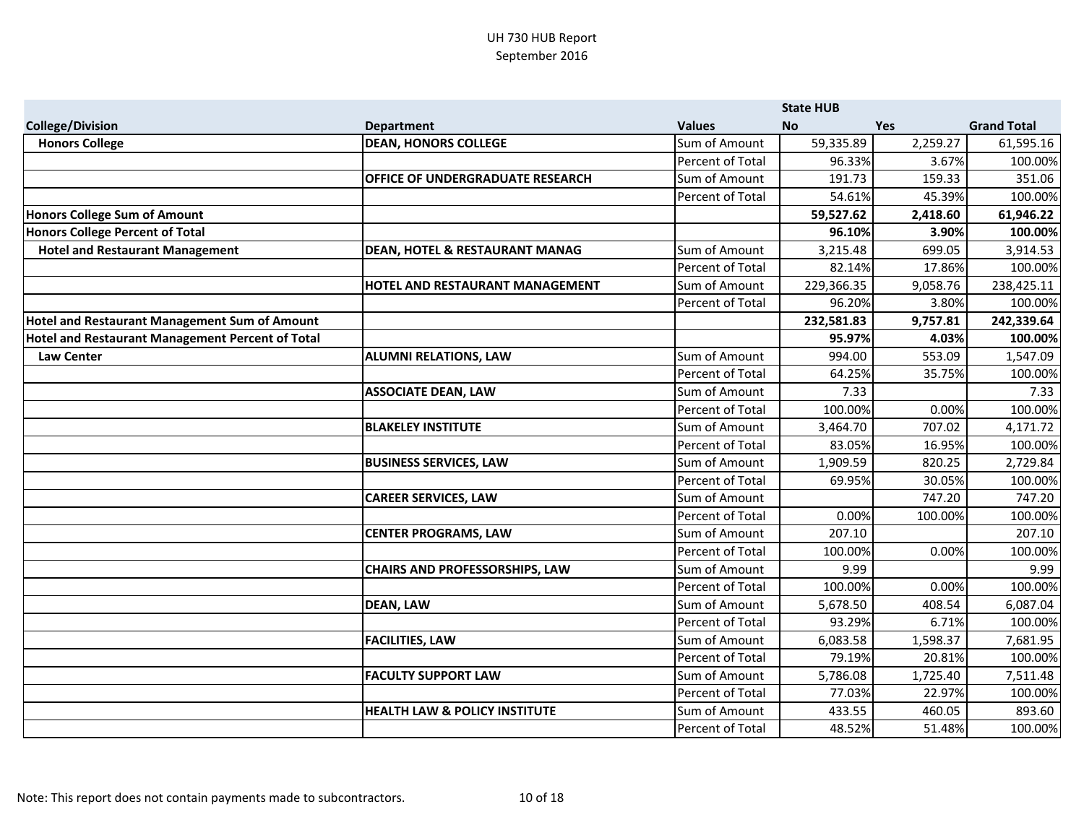|                                                      |                                           |                  | <b>State HUB</b> |            |                    |
|------------------------------------------------------|-------------------------------------------|------------------|------------------|------------|--------------------|
| <b>College/Division</b>                              | <b>Department</b>                         | <b>Values</b>    | <b>No</b>        | <b>Yes</b> | <b>Grand Total</b> |
| <b>Honors College</b>                                | <b>DEAN, HONORS COLLEGE</b>               | Sum of Amount    | 59,335.89        | 2,259.27   | 61,595.16          |
|                                                      |                                           | Percent of Total | 96.33%           | 3.67%      | 100.00%            |
|                                                      | <b>OFFICE OF UNDERGRADUATE RESEARCH</b>   | Sum of Amount    | 191.73           | 159.33     | 351.06             |
|                                                      |                                           | Percent of Total | 54.61%           | 45.39%     | 100.00%            |
| Honors College Sum of Amount                         |                                           |                  | 59,527.62        | 2,418.60   | 61,946.22          |
| Honors College Percent of Total                      |                                           |                  | 96.10%           | 3.90%      | 100.00%            |
| <b>Hotel and Restaurant Management</b>               | <b>DEAN, HOTEL &amp; RESTAURANT MANAG</b> | Sum of Amount    | 3,215.48         | 699.05     | 3,914.53           |
|                                                      |                                           | Percent of Total | 82.14%           | 17.86%     | 100.00%            |
|                                                      | <b>HOTEL AND RESTAURANT MANAGEMENT</b>    | Sum of Amount    | 229,366.35       | 9,058.76   | 238,425.11         |
|                                                      |                                           | Percent of Total | 96.20%           | 3.80%      | 100.00%            |
| <b>Hotel and Restaurant Management Sum of Amount</b> |                                           |                  | 232,581.83       | 9,757.81   | 242,339.64         |
| Hotel and Restaurant Management Percent of Total     |                                           |                  | 95.97%           | 4.03%      | 100.00%            |
| <b>Law Center</b>                                    | <b>ALUMNI RELATIONS, LAW</b>              | Sum of Amount    | 994.00           | 553.09     | 1,547.09           |
|                                                      |                                           | Percent of Total | 64.25%           | 35.75%     | 100.00%            |
|                                                      | <b>ASSOCIATE DEAN, LAW</b>                | Sum of Amount    | 7.33             |            | 7.33               |
|                                                      |                                           | Percent of Total | 100.00%          | 0.00%      | 100.00%            |
|                                                      | <b>BLAKELEY INSTITUTE</b>                 | Sum of Amount    | 3,464.70         | 707.02     | 4,171.72           |
|                                                      |                                           | Percent of Total | 83.05%           | 16.95%     | 100.00%            |
|                                                      | <b>BUSINESS SERVICES, LAW</b>             | Sum of Amount    | 1,909.59         | 820.25     | 2,729.84           |
|                                                      |                                           | Percent of Total | 69.95%           | 30.05%     | 100.00%            |
|                                                      | <b>CAREER SERVICES, LAW</b>               | Sum of Amount    |                  | 747.20     | 747.20             |
|                                                      |                                           | Percent of Total | 0.00%            | 100.00%    | 100.00%            |
|                                                      | <b>CENTER PROGRAMS, LAW</b>               | Sum of Amount    | 207.10           |            | 207.10             |
|                                                      |                                           | Percent of Total | 100.00%          | 0.00%      | 100.00%            |
|                                                      | <b>CHAIRS AND PROFESSORSHIPS, LAW</b>     | Sum of Amount    | 9.99             |            | 9.99               |
|                                                      |                                           | Percent of Total | 100.00%          | 0.00%      | 100.00%            |
|                                                      | <b>DEAN, LAW</b>                          | Sum of Amount    | 5,678.50         | 408.54     | 6,087.04           |
|                                                      |                                           | Percent of Total | 93.29%           | 6.71%      | 100.00%            |
|                                                      | <b>FACILITIES, LAW</b>                    | Sum of Amount    | 6,083.58         | 1,598.37   | 7,681.95           |
|                                                      |                                           | Percent of Total | 79.19%           | 20.81%     | 100.00%            |
|                                                      | <b>FACULTY SUPPORT LAW</b>                | Sum of Amount    | 5,786.08         | 1,725.40   | 7,511.48           |
|                                                      |                                           | Percent of Total | 77.03%           | 22.97%     | 100.00%            |
|                                                      | <b>HEALTH LAW &amp; POLICY INSTITUTE</b>  | Sum of Amount    | 433.55           | 460.05     | 893.60             |
|                                                      |                                           | Percent of Total | 48.52%           | 51.48%     | 100.00%            |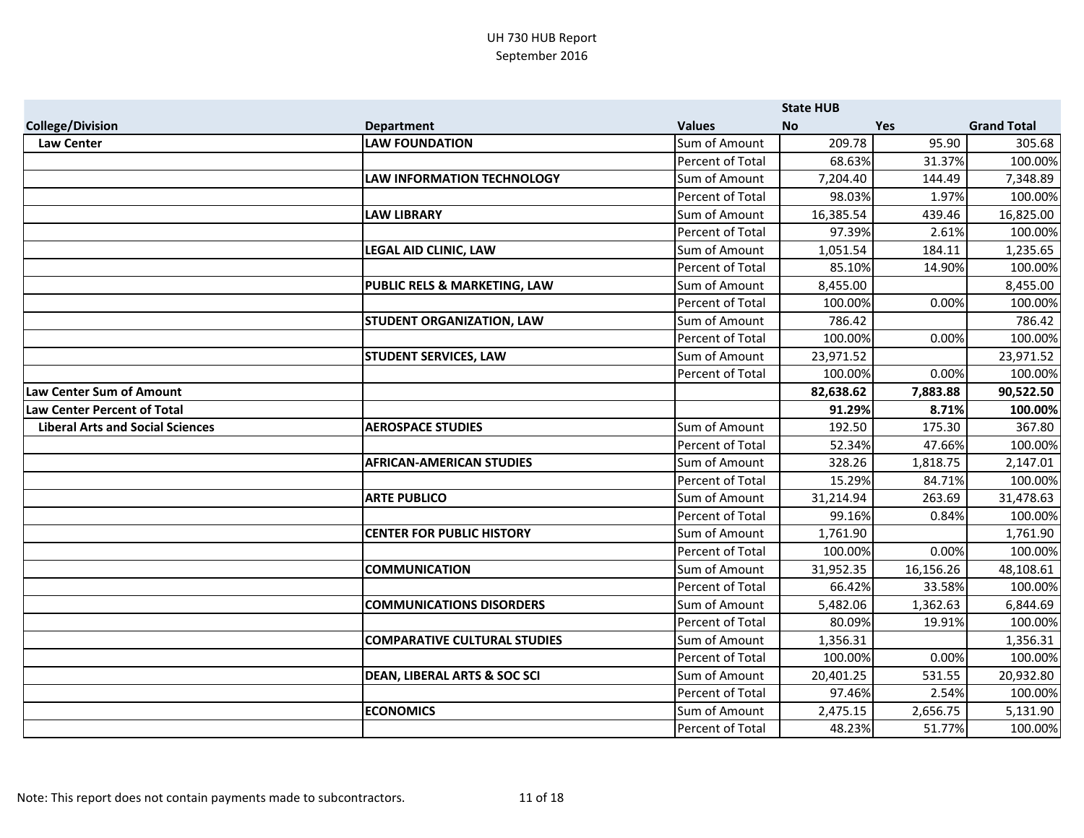|                                         |                                         |                         | <b>State HUB</b> |            |                    |
|-----------------------------------------|-----------------------------------------|-------------------------|------------------|------------|--------------------|
| <b>College/Division</b>                 | <b>Department</b>                       | <b>Values</b>           | <b>No</b>        | <b>Yes</b> | <b>Grand Total</b> |
| <b>Law Center</b>                       | <b>LAW FOUNDATION</b>                   | Sum of Amount           | 209.78           | 95.90      | 305.68             |
|                                         |                                         | Percent of Total        | 68.63%           | 31.37%     | 100.00%            |
|                                         | <b>LAW INFORMATION TECHNOLOGY</b>       | Sum of Amount           | 7,204.40         | 144.49     | 7,348.89           |
|                                         |                                         | Percent of Total        | 98.03%           | 1.97%      | 100.00%            |
|                                         | <b>LAW LIBRARY</b>                      | Sum of Amount           | 16,385.54        | 439.46     | 16,825.00          |
|                                         |                                         | Percent of Total        | 97.39%           | 2.61%      | 100.00%            |
|                                         | <b>LEGAL AID CLINIC, LAW</b>            | Sum of Amount           | 1,051.54         | 184.11     | 1,235.65           |
|                                         |                                         | Percent of Total        | 85.10%           | 14.90%     | 100.00%            |
|                                         | PUBLIC RELS & MARKETING, LAW            | Sum of Amount           | 8,455.00         |            | 8,455.00           |
|                                         |                                         | Percent of Total        | 100.00%          | 0.00%      | 100.00%            |
|                                         | <b>STUDENT ORGANIZATION, LAW</b>        | Sum of Amount           | 786.42           |            | 786.42             |
|                                         |                                         | Percent of Total        | 100.00%          | 0.00%      | 100.00%            |
|                                         | <b>STUDENT SERVICES, LAW</b>            | Sum of Amount           | 23,971.52        |            | 23,971.52          |
|                                         |                                         | Percent of Total        | 100.00%          | 0.00%      | 100.00%            |
| Law Center Sum of Amount                |                                         |                         | 82,638.62        | 7,883.88   | 90,522.50          |
| Law Center Percent of Total             |                                         |                         | 91.29%           | 8.71%      | 100.00%            |
| <b>Liberal Arts and Social Sciences</b> | <b>AEROSPACE STUDIES</b>                | Sum of Amount           | 192.50           | 175.30     | 367.80             |
|                                         |                                         | <b>Percent of Total</b> | 52.34%           | 47.66%     | 100.00%            |
|                                         | <b>AFRICAN-AMERICAN STUDIES</b>         | Sum of Amount           | 328.26           | 1,818.75   | 2,147.01           |
|                                         |                                         | Percent of Total        | 15.29%           | 84.71%     | 100.00%            |
|                                         | <b>ARTE PUBLICO</b>                     | Sum of Amount           | 31,214.94        | 263.69     | 31,478.63          |
|                                         |                                         | Percent of Total        | 99.16%           | 0.84%      | 100.00%            |
|                                         | <b>CENTER FOR PUBLIC HISTORY</b>        | Sum of Amount           | 1,761.90         |            | 1,761.90           |
|                                         |                                         | Percent of Total        | 100.00%          | 0.00%      | 100.00%            |
|                                         | <b>COMMUNICATION</b>                    | Sum of Amount           | 31,952.35        | 16,156.26  | 48,108.61          |
|                                         |                                         | Percent of Total        | 66.42%           | 33.58%     | 100.00%            |
|                                         | <b>COMMUNICATIONS DISORDERS</b>         | Sum of Amount           | 5,482.06         | 1,362.63   | 6,844.69           |
|                                         |                                         | Percent of Total        | 80.09%           | 19.91%     | 100.00%            |
|                                         | <b>COMPARATIVE CULTURAL STUDIES</b>     | Sum of Amount           | 1,356.31         |            | 1,356.31           |
|                                         |                                         | Percent of Total        | 100.00%          | 0.00%      | 100.00%            |
|                                         | <b>DEAN, LIBERAL ARTS &amp; SOC SCI</b> | Sum of Amount           | 20,401.25        | 531.55     | 20,932.80          |
|                                         |                                         | Percent of Total        | 97.46%           | 2.54%      | 100.00%            |
|                                         | <b>ECONOMICS</b>                        | Sum of Amount           | 2,475.15         | 2,656.75   | 5,131.90           |
|                                         |                                         | Percent of Total        | 48.23%           | 51.77%     | 100.00%            |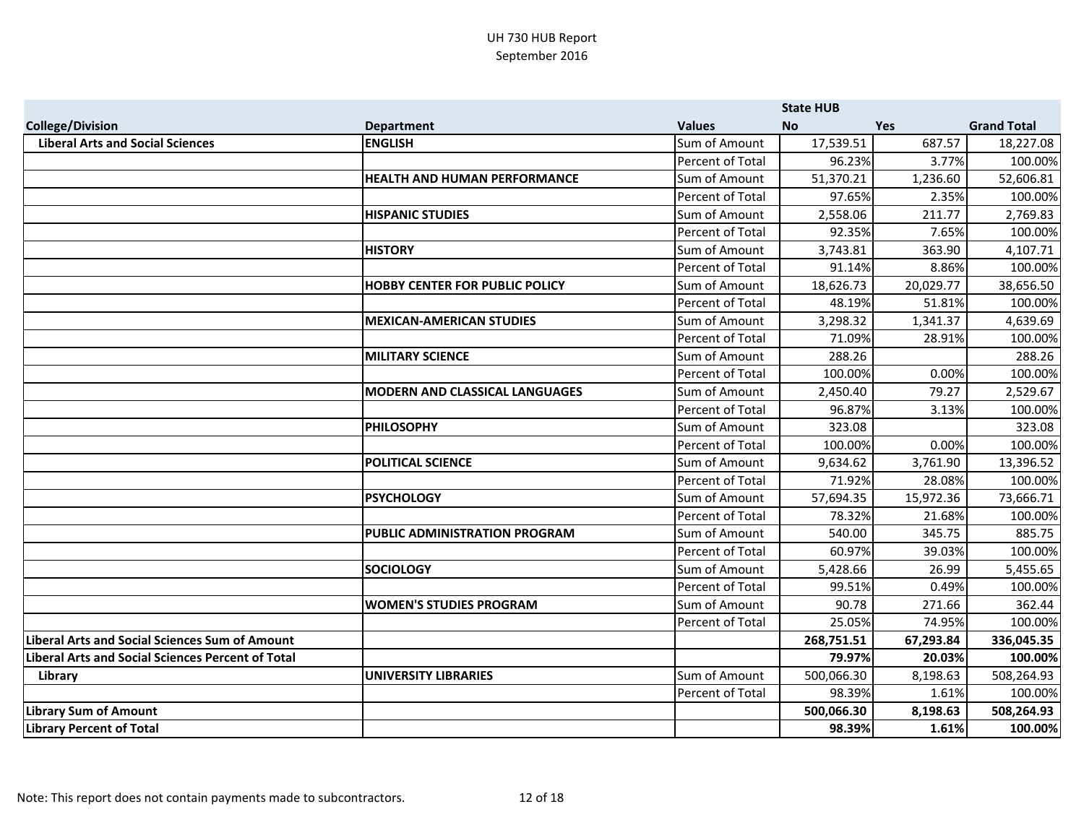|                                                          |                                       |                         | <b>State HUB</b> |            |                    |
|----------------------------------------------------------|---------------------------------------|-------------------------|------------------|------------|--------------------|
| <b>College/Division</b>                                  | <b>Department</b>                     | <b>Values</b>           | <b>No</b>        | <b>Yes</b> | <b>Grand Total</b> |
| <b>Liberal Arts and Social Sciences</b>                  | <b>ENGLISH</b>                        | Sum of Amount           | 17,539.51        | 687.57     | 18,227.08          |
|                                                          |                                       | Percent of Total        | 96.23%           | 3.77%      | 100.00%            |
|                                                          | <b>HEALTH AND HUMAN PERFORMANCE</b>   | Sum of Amount           | 51,370.21        | 1,236.60   | 52,606.81          |
|                                                          |                                       | <b>Percent of Total</b> | 97.65%           | 2.35%      | 100.00%            |
|                                                          | <b>HISPANIC STUDIES</b>               | Sum of Amount           | 2,558.06         | 211.77     | 2,769.83           |
|                                                          |                                       | Percent of Total        | 92.35%           | 7.65%      | 100.00%            |
|                                                          | <b>HISTORY</b>                        | Sum of Amount           | 3,743.81         | 363.90     | 4,107.71           |
|                                                          |                                       | Percent of Total        | 91.14%           | 8.86%      | 100.00%            |
|                                                          | <b>HOBBY CENTER FOR PUBLIC POLICY</b> | Sum of Amount           | 18,626.73        | 20,029.77  | 38,656.50          |
|                                                          |                                       | Percent of Total        | 48.19%           | 51.81%     | 100.00%            |
|                                                          | <b>MEXICAN-AMERICAN STUDIES</b>       | Sum of Amount           | 3,298.32         | 1,341.37   | 4,639.69           |
|                                                          |                                       | Percent of Total        | 71.09%           | 28.91%     | 100.00%            |
|                                                          | <b>MILITARY SCIENCE</b>               | Sum of Amount           | 288.26           |            | 288.26             |
|                                                          |                                       | Percent of Total        | 100.00%          | 0.00%      | 100.00%            |
|                                                          | <b>MODERN AND CLASSICAL LANGUAGES</b> | Sum of Amount           | 2,450.40         | 79.27      | 2,529.67           |
|                                                          |                                       | Percent of Total        | 96.87%           | 3.13%      | 100.00%            |
|                                                          | <b>PHILOSOPHY</b>                     | Sum of Amount           | 323.08           |            | 323.08             |
|                                                          |                                       | <b>Percent of Total</b> | 100.00%          | 0.00%      | 100.00%            |
|                                                          | <b>POLITICAL SCIENCE</b>              | Sum of Amount           | 9,634.62         | 3,761.90   | 13,396.52          |
|                                                          |                                       | Percent of Total        | 71.92%           | 28.08%     | 100.00%            |
|                                                          | <b>PSYCHOLOGY</b>                     | Sum of Amount           | 57,694.35        | 15,972.36  | 73,666.71          |
|                                                          |                                       | Percent of Total        | 78.32%           | 21.68%     | 100.00%            |
|                                                          | <b>PUBLIC ADMINISTRATION PROGRAM</b>  | Sum of Amount           | 540.00           | 345.75     | 885.75             |
|                                                          |                                       | Percent of Total        | 60.97%           | 39.03%     | 100.00%            |
|                                                          | <b>SOCIOLOGY</b>                      | Sum of Amount           | 5,428.66         | 26.99      | 5,455.65           |
|                                                          |                                       | Percent of Total        | 99.51%           | 0.49%      | 100.00%            |
|                                                          | <b>WOMEN'S STUDIES PROGRAM</b>        | Sum of Amount           | 90.78            | 271.66     | 362.44             |
|                                                          |                                       | Percent of Total        | 25.05%           | 74.95%     | 100.00%            |
| <b>Liberal Arts and Social Sciences Sum of Amount</b>    |                                       |                         | 268,751.51       | 67,293.84  | 336,045.35         |
| <b>Liberal Arts and Social Sciences Percent of Total</b> |                                       |                         | 79.97%           | 20.03%     | 100.00%            |
| Library                                                  | <b>UNIVERSITY LIBRARIES</b>           | Sum of Amount           | 500,066.30       | 8,198.63   | 508,264.93         |
|                                                          |                                       | Percent of Total        | 98.39%           | 1.61%      | 100.00%            |
| <b>Library Sum of Amount</b>                             |                                       |                         | 500,066.30       | 8,198.63   | 508,264.93         |
| <b>Library Percent of Total</b>                          |                                       |                         | 98.39%           | 1.61%      | 100.00%            |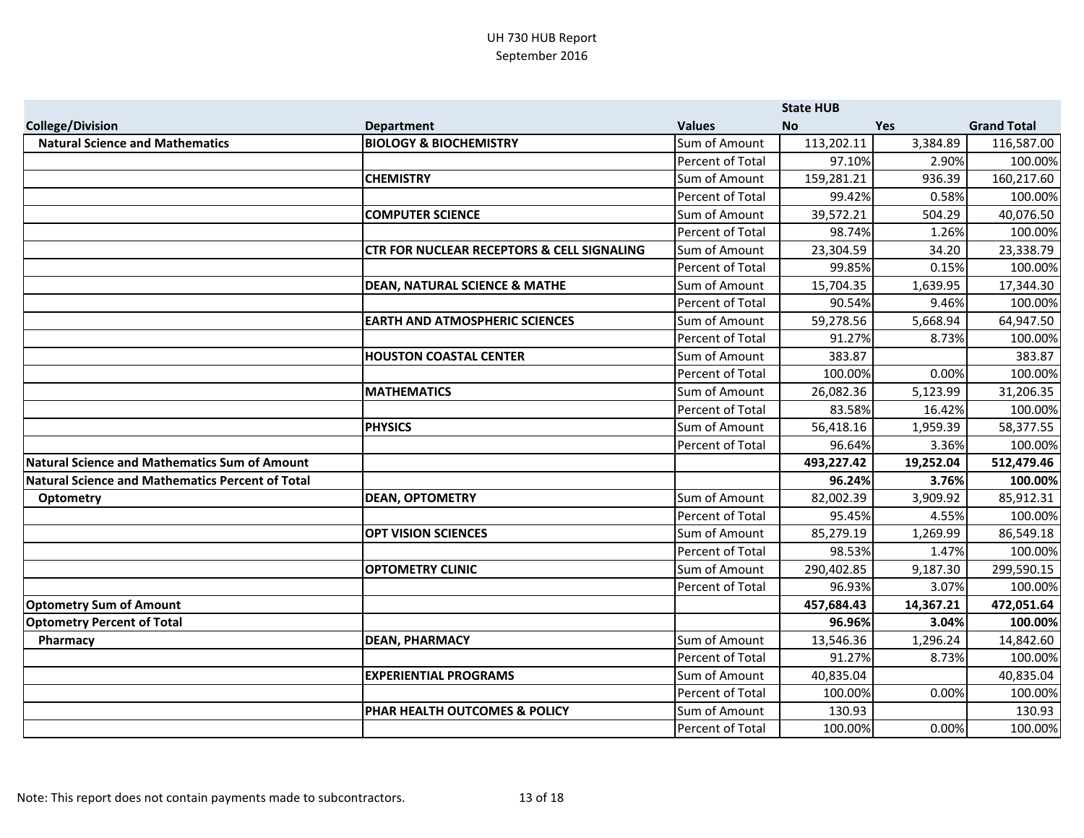|                                                      |                                                       |                  | <b>State HUB</b> |            |                    |
|------------------------------------------------------|-------------------------------------------------------|------------------|------------------|------------|--------------------|
| <b>College/Division</b>                              | <b>Department</b>                                     | <b>Values</b>    | <b>No</b>        | <b>Yes</b> | <b>Grand Total</b> |
| <b>Natural Science and Mathematics</b>               | <b>BIOLOGY &amp; BIOCHEMISTRY</b>                     | Sum of Amount    | 113,202.11       | 3,384.89   | 116,587.00         |
|                                                      |                                                       | Percent of Total | 97.10%           | 2.90%      | 100.00%            |
|                                                      | <b>CHEMISTRY</b>                                      | Sum of Amount    | 159,281.21       | 936.39     | 160,217.60         |
|                                                      |                                                       | Percent of Total | 99.42%           | 0.58%      | 100.00%            |
|                                                      | <b>COMPUTER SCIENCE</b>                               | Sum of Amount    | 39,572.21        | 504.29     | 40,076.50          |
|                                                      |                                                       | Percent of Total | 98.74%           | 1.26%      | 100.00%            |
|                                                      | <b>CTR FOR NUCLEAR RECEPTORS &amp; CELL SIGNALING</b> | Sum of Amount    | 23,304.59        | 34.20      | 23,338.79          |
|                                                      |                                                       | Percent of Total | 99.85%           | 0.15%      | 100.00%            |
|                                                      | <b>DEAN, NATURAL SCIENCE &amp; MATHE</b>              | Sum of Amount    | 15,704.35        | 1,639.95   | 17,344.30          |
|                                                      |                                                       | Percent of Total | 90.54%           | 9.46%      | 100.00%            |
|                                                      | <b>EARTH AND ATMOSPHERIC SCIENCES</b>                 | Sum of Amount    | 59,278.56        | 5,668.94   | 64,947.50          |
|                                                      |                                                       | Percent of Total | 91.27%           | 8.73%      | 100.00%            |
|                                                      | <b>HOUSTON COASTAL CENTER</b>                         | Sum of Amount    | 383.87           |            | 383.87             |
|                                                      |                                                       | Percent of Total | 100.00%          | 0.00%      | 100.00%            |
|                                                      | <b>MATHEMATICS</b>                                    | Sum of Amount    | 26,082.36        | 5,123.99   | 31,206.35          |
|                                                      |                                                       | Percent of Total | 83.58%           | 16.42%     | 100.00%            |
|                                                      | <b>PHYSICS</b>                                        | Sum of Amount    | 56,418.16        | 1,959.39   | 58,377.55          |
|                                                      |                                                       | Percent of Total | 96.64%           | 3.36%      | 100.00%            |
| <b>Natural Science and Mathematics Sum of Amount</b> |                                                       |                  | 493,227.42       | 19,252.04  | 512,479.46         |
| Natural Science and Mathematics Percent of Total     |                                                       |                  | 96.24%           | 3.76%      | 100.00%            |
| <b>Optometry</b>                                     | <b>DEAN, OPTOMETRY</b>                                | Sum of Amount    | 82,002.39        | 3,909.92   | 85,912.31          |
|                                                      |                                                       | Percent of Total | 95.45%           | 4.55%      | 100.00%            |
|                                                      | <b>OPT VISION SCIENCES</b>                            | Sum of Amount    | 85,279.19        | 1,269.99   | 86,549.18          |
|                                                      |                                                       | Percent of Total | 98.53%           | 1.47%      | 100.00%            |
|                                                      | <b>OPTOMETRY CLINIC</b>                               | Sum of Amount    | 290,402.85       | 9,187.30   | 299,590.15         |
|                                                      |                                                       | Percent of Total | 96.93%           | 3.07%      | 100.00%            |
| <b>Optometry Sum of Amount</b>                       |                                                       |                  | 457,684.43       | 14,367.21  | 472,051.64         |
| <b>Optometry Percent of Total</b>                    |                                                       |                  | 96.96%           | 3.04%      | 100.00%            |
| Pharmacy                                             | <b>DEAN, PHARMACY</b>                                 | Sum of Amount    | 13,546.36        | 1,296.24   | 14,842.60          |
|                                                      |                                                       | Percent of Total | 91.27%           | 8.73%      | 100.00%            |
|                                                      | <b>EXPERIENTIAL PROGRAMS</b>                          | Sum of Amount    | 40,835.04        |            | 40,835.04          |
|                                                      |                                                       | Percent of Total | 100.00%          | 0.00%      | 100.00%            |
|                                                      | PHAR HEALTH OUTCOMES & POLICY                         | Sum of Amount    | 130.93           |            | 130.93             |
|                                                      |                                                       | Percent of Total | 100.00%          | 0.00%      | 100.00%            |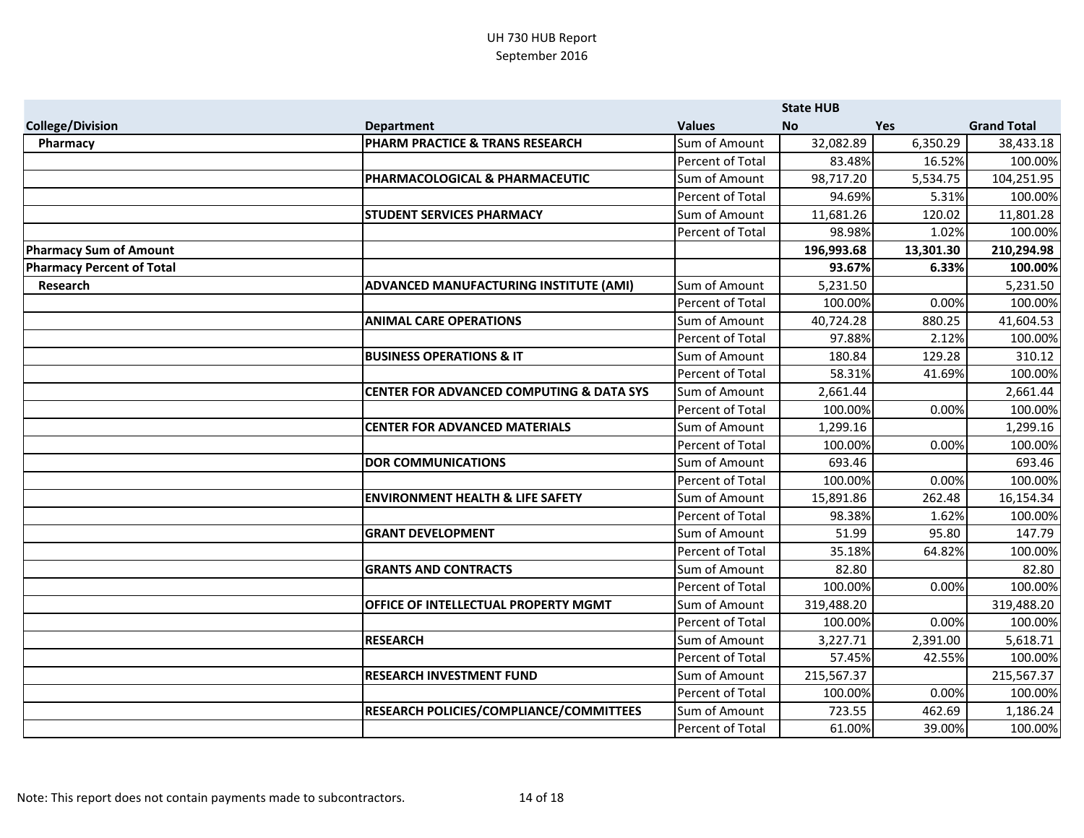|                                  |                                                     |                  | <b>State HUB</b> |            |                    |
|----------------------------------|-----------------------------------------------------|------------------|------------------|------------|--------------------|
| <b>College/Division</b>          | <b>Department</b>                                   | <b>Values</b>    | <b>No</b>        | <b>Yes</b> | <b>Grand Total</b> |
| Pharmacy                         | PHARM PRACTICE & TRANS RESEARCH                     | Sum of Amount    | 32,082.89        | 6,350.29   | 38,433.18          |
|                                  |                                                     | Percent of Total | 83.48%           | 16.52%     | 100.00%            |
|                                  | PHARMACOLOGICAL & PHARMACEUTIC                      | Sum of Amount    | 98,717.20        | 5,534.75   | 104,251.95         |
|                                  |                                                     | Percent of Total | 94.69%           | 5.31%      | 100.00%            |
|                                  | <b>STUDENT SERVICES PHARMACY</b>                    | Sum of Amount    | 11,681.26        | 120.02     | 11,801.28          |
|                                  |                                                     | Percent of Total | 98.98%           | 1.02%      | 100.00%            |
| <b>Pharmacy Sum of Amount</b>    |                                                     |                  | 196,993.68       | 13,301.30  | 210,294.98         |
| <b>Pharmacy Percent of Total</b> |                                                     |                  | 93.67%           | 6.33%      | 100.00%            |
| Research                         | ADVANCED MANUFACTURING INSTITUTE (AMI)              | Sum of Amount    | 5,231.50         |            | 5,231.50           |
|                                  |                                                     | Percent of Total | 100.00%          | 0.00%      | 100.00%            |
|                                  | <b>ANIMAL CARE OPERATIONS</b>                       | Sum of Amount    | 40,724.28        | 880.25     | 41,604.53          |
|                                  |                                                     | Percent of Total | 97.88%           | 2.12%      | 100.00%            |
|                                  | <b>BUSINESS OPERATIONS &amp; IT</b>                 | Sum of Amount    | 180.84           | 129.28     | 310.12             |
|                                  |                                                     | Percent of Total | 58.31%           | 41.69%     | 100.00%            |
|                                  | <b>CENTER FOR ADVANCED COMPUTING &amp; DATA SYS</b> | Sum of Amount    | 2,661.44         |            | 2,661.44           |
|                                  |                                                     | Percent of Total | 100.00%          | 0.00%      | 100.00%            |
|                                  | <b>CENTER FOR ADVANCED MATERIALS</b>                | Sum of Amount    | 1,299.16         |            | 1,299.16           |
|                                  |                                                     | Percent of Total | 100.00%          | 0.00%      | 100.00%            |
|                                  | <b>DOR COMMUNICATIONS</b>                           | Sum of Amount    | 693.46           |            | 693.46             |
|                                  |                                                     | Percent of Total | 100.00%          | 0.00%      | 100.00%            |
|                                  | <b>ENVIRONMENT HEALTH &amp; LIFE SAFETY</b>         | Sum of Amount    | 15,891.86        | 262.48     | 16,154.34          |
|                                  |                                                     | Percent of Total | 98.38%           | 1.62%      | 100.00%            |
|                                  | <b>GRANT DEVELOPMENT</b>                            | Sum of Amount    | 51.99            | 95.80      | 147.79             |
|                                  |                                                     | Percent of Total | 35.18%           | 64.82%     | 100.00%            |
|                                  | <b>GRANTS AND CONTRACTS</b>                         | Sum of Amount    | 82.80            |            | 82.80              |
|                                  |                                                     | Percent of Total | 100.00%          | 0.00%      | 100.00%            |
|                                  | OFFICE OF INTELLECTUAL PROPERTY MGMT                | Sum of Amount    | 319,488.20       |            | 319,488.20         |
|                                  |                                                     | Percent of Total | 100.00%          | 0.00%      | 100.00%            |
|                                  | <b>RESEARCH</b>                                     | Sum of Amount    | 3,227.71         | 2,391.00   | 5,618.71           |
|                                  |                                                     | Percent of Total | 57.45%           | 42.55%     | 100.00%            |
|                                  | <b>RESEARCH INVESTMENT FUND</b>                     | Sum of Amount    | 215,567.37       |            | 215,567.37         |
|                                  |                                                     | Percent of Total | 100.00%          | 0.00%      | 100.00%            |
|                                  | RESEARCH POLICIES/COMPLIANCE/COMMITTEES             | Sum of Amount    | 723.55           | 462.69     | 1,186.24           |
|                                  |                                                     | Percent of Total | 61.00%           | 39.00%     | 100.00%            |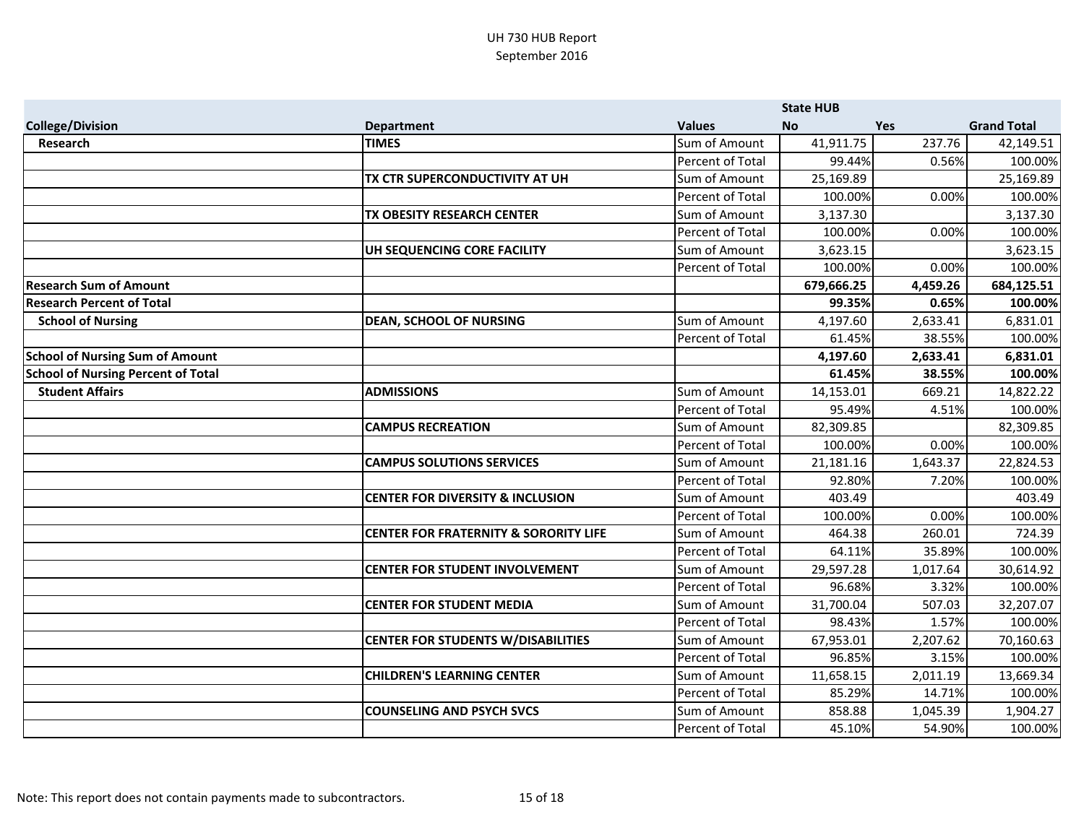|                                           |                                                  |                         | <b>State HUB</b> |            |                    |
|-------------------------------------------|--------------------------------------------------|-------------------------|------------------|------------|--------------------|
| <b>College/Division</b>                   | <b>Department</b>                                | <b>Values</b>           | <b>No</b>        | <b>Yes</b> | <b>Grand Total</b> |
| <b>Research</b>                           | <b>TIMES</b>                                     | Sum of Amount           | 41,911.75        | 237.76     | 42,149.51          |
|                                           |                                                  | Percent of Total        | 99.44%           | 0.56%      | 100.00%            |
|                                           | TX CTR SUPERCONDUCTIVITY AT UH                   | Sum of Amount           | 25,169.89        |            | 25,169.89          |
|                                           |                                                  | Percent of Total        | 100.00%          | 0.00%      | 100.00%            |
|                                           | TX OBESITY RESEARCH CENTER                       | Sum of Amount           | 3,137.30         |            | 3,137.30           |
|                                           |                                                  | Percent of Total        | 100.00%          | 0.00%      | 100.00%            |
|                                           | UH SEQUENCING CORE FACILITY                      | Sum of Amount           | 3,623.15         |            | 3,623.15           |
|                                           |                                                  | Percent of Total        | 100.00%          | 0.00%      | 100.00%            |
| <b>Research Sum of Amount</b>             |                                                  |                         | 679,666.25       | 4,459.26   | 684,125.51         |
| <b>Research Percent of Total</b>          |                                                  |                         | 99.35%           | 0.65%      | 100.00%            |
| <b>School of Nursing</b>                  | <b>DEAN, SCHOOL OF NURSING</b>                   | Sum of Amount           | 4,197.60         | 2,633.41   | 6,831.01           |
|                                           |                                                  | Percent of Total        | 61.45%           | 38.55%     | 100.00%            |
| <b>School of Nursing Sum of Amount</b>    |                                                  |                         | 4,197.60         | 2,633.41   | 6,831.01           |
| <b>School of Nursing Percent of Total</b> |                                                  |                         | 61.45%           | 38.55%     | 100.00%            |
| <b>Student Affairs</b>                    | <b>ADMISSIONS</b>                                | Sum of Amount           | 14,153.01        | 669.21     | 14,822.22          |
|                                           |                                                  | <b>Percent of Total</b> | 95.49%           | 4.51%      | 100.00%            |
|                                           | <b>CAMPUS RECREATION</b>                         | Sum of Amount           | 82,309.85        |            | 82,309.85          |
|                                           |                                                  | Percent of Total        | 100.00%          | 0.00%      | 100.00%            |
|                                           | <b>CAMPUS SOLUTIONS SERVICES</b>                 | Sum of Amount           | 21,181.16        | 1,643.37   | 22,824.53          |
|                                           |                                                  | Percent of Total        | 92.80%           | 7.20%      | 100.00%            |
|                                           | <b>CENTER FOR DIVERSITY &amp; INCLUSION</b>      | Sum of Amount           | 403.49           |            | 403.49             |
|                                           |                                                  | Percent of Total        | 100.00%          | 0.00%      | 100.00%            |
|                                           | <b>CENTER FOR FRATERNITY &amp; SORORITY LIFE</b> | Sum of Amount           | 464.38           | 260.01     | 724.39             |
|                                           |                                                  | Percent of Total        | 64.11%           | 35.89%     | 100.00%            |
|                                           | <b>CENTER FOR STUDENT INVOLVEMENT</b>            | Sum of Amount           | 29,597.28        | 1,017.64   | 30,614.92          |
|                                           |                                                  | Percent of Total        | 96.68%           | 3.32%      | 100.00%            |
|                                           | <b>CENTER FOR STUDENT MEDIA</b>                  | Sum of Amount           | 31,700.04        | 507.03     | 32,207.07          |
|                                           |                                                  | Percent of Total        | 98.43%           | 1.57%      | 100.00%            |
|                                           | <b>CENTER FOR STUDENTS W/DISABILITIES</b>        | Sum of Amount           | 67,953.01        | 2,207.62   | 70,160.63          |
|                                           |                                                  | Percent of Total        | 96.85%           | 3.15%      | 100.00%            |
|                                           | <b>CHILDREN'S LEARNING CENTER</b>                | Sum of Amount           | 11,658.15        | 2,011.19   | 13,669.34          |
|                                           |                                                  | Percent of Total        | 85.29%           | 14.71%     | 100.00%            |
|                                           | <b>COUNSELING AND PSYCH SVCS</b>                 | Sum of Amount           | 858.88           | 1,045.39   | 1,904.27           |
|                                           |                                                  | Percent of Total        | 45.10%           | 54.90%     | 100.00%            |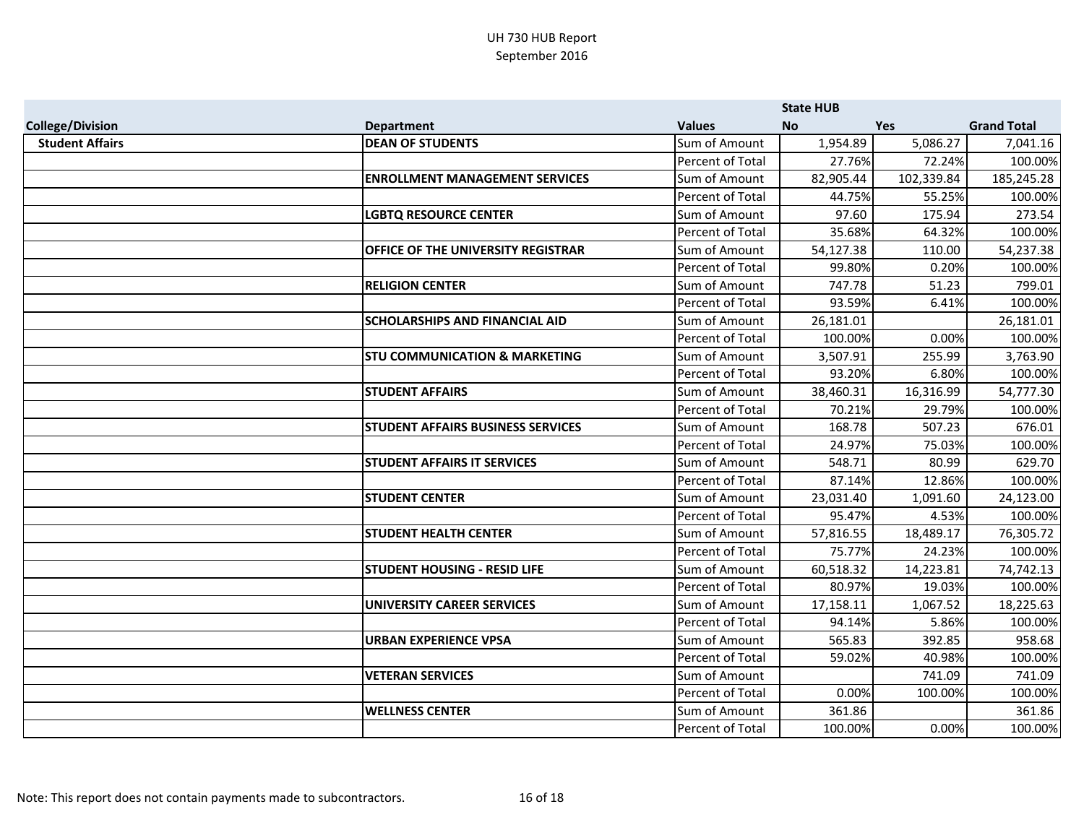|                         |                                          |                         | <b>State HUB</b> |            |                    |
|-------------------------|------------------------------------------|-------------------------|------------------|------------|--------------------|
| <b>College/Division</b> | <b>Department</b>                        | <b>Values</b>           | <b>No</b>        | <b>Yes</b> | <b>Grand Total</b> |
| <b>Student Affairs</b>  | <b>DEAN OF STUDENTS</b>                  | Sum of Amount           | 1,954.89         | 5,086.27   | 7,041.16           |
|                         |                                          | Percent of Total        | 27.76%           | 72.24%     | 100.00%            |
|                         | <b>ENROLLMENT MANAGEMENT SERVICES</b>    | Sum of Amount           | 82,905.44        | 102,339.84 | 185,245.28         |
|                         |                                          | Percent of Total        | 44.75%           | 55.25%     | 100.00%            |
|                         | <b>LGBTQ RESOURCE CENTER</b>             | Sum of Amount           | 97.60            | 175.94     | 273.54             |
|                         |                                          | Percent of Total        | 35.68%           | 64.32%     | 100.00%            |
|                         | OFFICE OF THE UNIVERSITY REGISTRAR       | Sum of Amount           | 54,127.38        | 110.00     | 54,237.38          |
|                         |                                          | Percent of Total        | 99.80%           | 0.20%      | 100.00%            |
|                         | <b>RELIGION CENTER</b>                   | Sum of Amount           | 747.78           | 51.23      | 799.01             |
|                         |                                          | Percent of Total        | 93.59%           | 6.41%      | 100.00%            |
|                         | <b>SCHOLARSHIPS AND FINANCIAL AID</b>    | Sum of Amount           | 26,181.01        |            | 26,181.01          |
|                         |                                          | Percent of Total        | 100.00%          | 0.00%      | 100.00%            |
|                         | <b>STU COMMUNICATION &amp; MARKETING</b> | Sum of Amount           | 3,507.91         | 255.99     | 3,763.90           |
|                         |                                          | Percent of Total        | 93.20%           | 6.80%      | 100.00%            |
|                         | <b>STUDENT AFFAIRS</b>                   | Sum of Amount           | 38,460.31        | 16,316.99  | 54,777.30          |
|                         |                                          | Percent of Total        | 70.21%           | 29.79%     | 100.00%            |
|                         | <b>STUDENT AFFAIRS BUSINESS SERVICES</b> | Sum of Amount           | 168.78           | 507.23     | 676.01             |
|                         |                                          | Percent of Total        | 24.97%           | 75.03%     | 100.00%            |
|                         | <b>STUDENT AFFAIRS IT SERVICES</b>       | Sum of Amount           | 548.71           | 80.99      | 629.70             |
|                         |                                          | Percent of Total        | 87.14%           | 12.86%     | 100.00%            |
|                         | <b>STUDENT CENTER</b>                    | Sum of Amount           | 23,031.40        | 1,091.60   | 24,123.00          |
|                         |                                          | <b>Percent of Total</b> | 95.47%           | 4.53%      | 100.00%            |
|                         | <b>STUDENT HEALTH CENTER</b>             | Sum of Amount           | 57,816.55        | 18,489.17  | 76,305.72          |
|                         |                                          | Percent of Total        | 75.77%           | 24.23%     | 100.00%            |
|                         | <b>STUDENT HOUSING - RESID LIFE</b>      | Sum of Amount           | 60,518.32        | 14,223.81  | 74,742.13          |
|                         |                                          | Percent of Total        | 80.97%           | 19.03%     | 100.00%            |
|                         | <b>UNIVERSITY CAREER SERVICES</b>        | Sum of Amount           | 17,158.11        | 1,067.52   | 18,225.63          |
|                         |                                          | Percent of Total        | 94.14%           | 5.86%      | 100.00%            |
|                         | <b>URBAN EXPERIENCE VPSA</b>             | Sum of Amount           | 565.83           | 392.85     | 958.68             |
|                         |                                          | Percent of Total        | 59.02%           | 40.98%     | 100.00%            |
|                         | <b>VETERAN SERVICES</b>                  | Sum of Amount           |                  | 741.09     | 741.09             |
|                         |                                          | Percent of Total        | 0.00%            | 100.00%    | 100.00%            |
|                         | <b>WELLNESS CENTER</b>                   | Sum of Amount           | 361.86           |            | 361.86             |
|                         |                                          | Percent of Total        | 100.00%          | 0.00%      | 100.00%            |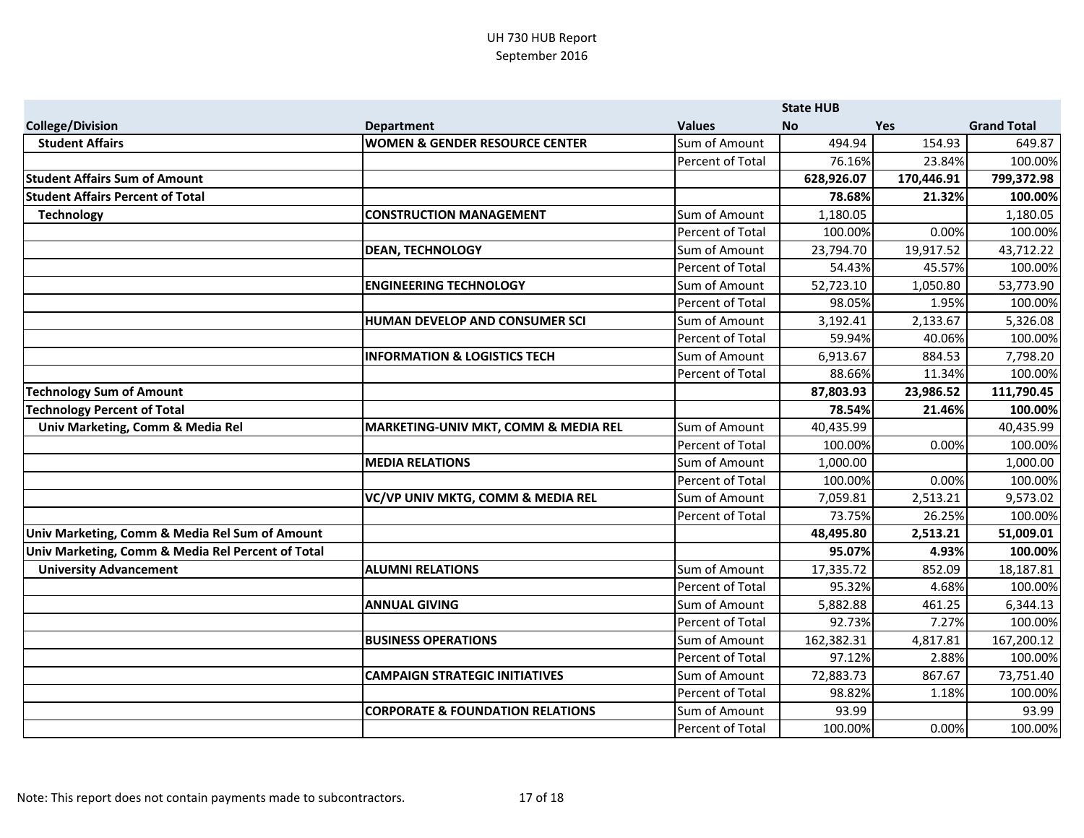|                                                   |                                             |                  | <b>State HUB</b> |            |                    |
|---------------------------------------------------|---------------------------------------------|------------------|------------------|------------|--------------------|
| <b>College/Division</b>                           | <b>Department</b>                           | <b>Values</b>    | <b>No</b>        | Yes        | <b>Grand Total</b> |
| <b>Student Affairs</b>                            | <b>WOMEN &amp; GENDER RESOURCE CENTER</b>   | Sum of Amount    | 494.94           | 154.93     | 649.87             |
|                                                   |                                             | Percent of Total | 76.16%           | 23.84%     | 100.00%            |
| <b>Student Affairs Sum of Amount</b>              |                                             |                  | 628,926.07       | 170,446.91 | 799,372.98         |
| <b>Student Affairs Percent of Total</b>           |                                             |                  | 78.68%           | 21.32%     | 100.00%            |
| <b>Technology</b>                                 | <b>CONSTRUCTION MANAGEMENT</b>              | Sum of Amount    | 1,180.05         |            | 1,180.05           |
|                                                   |                                             | Percent of Total | 100.00%          | 0.00%      | 100.00%            |
|                                                   | <b>DEAN, TECHNOLOGY</b>                     | Sum of Amount    | 23,794.70        | 19,917.52  | 43,712.22          |
|                                                   |                                             | Percent of Total | 54.43%           | 45.57%     | 100.00%            |
|                                                   | <b>ENGINEERING TECHNOLOGY</b>               | Sum of Amount    | 52,723.10        | 1,050.80   | 53,773.90          |
|                                                   |                                             | Percent of Total | 98.05%           | 1.95%      | 100.00%            |
|                                                   | HUMAN DEVELOP AND CONSUMER SCI              | Sum of Amount    | 3,192.41         | 2,133.67   | 5,326.08           |
|                                                   |                                             | Percent of Total | 59.94%           | 40.06%     | 100.00%            |
|                                                   | <b>INFORMATION &amp; LOGISTICS TECH</b>     | Sum of Amount    | 6,913.67         | 884.53     | 7,798.20           |
|                                                   |                                             | Percent of Total | 88.66%           | 11.34%     | 100.00%            |
| <b>Technology Sum of Amount</b>                   |                                             |                  | 87,803.93        | 23,986.52  | 111,790.45         |
| <b>Technology Percent of Total</b>                |                                             |                  | 78.54%           | 21.46%     | 100.00%            |
| Univ Marketing, Comm & Media Rel                  | MARKETING-UNIV MKT, COMM & MEDIA REL        | Sum of Amount    | 40,435.99        |            | 40,435.99          |
|                                                   |                                             | Percent of Total | 100.00%          | 0.00%      | 100.00%            |
|                                                   | <b>MEDIA RELATIONS</b>                      | Sum of Amount    | 1,000.00         |            | 1,000.00           |
|                                                   |                                             | Percent of Total | 100.00%          | 0.00%      | 100.00%            |
|                                                   | VC/VP UNIV MKTG, COMM & MEDIA REL           | Sum of Amount    | 7,059.81         | 2,513.21   | 9,573.02           |
|                                                   |                                             | Percent of Total | 73.75%           | 26.25%     | 100.00%            |
| Univ Marketing, Comm & Media Rel Sum of Amount    |                                             |                  | 48,495.80        | 2,513.21   | 51,009.01          |
| Univ Marketing, Comm & Media Rel Percent of Total |                                             |                  | 95.07%           | 4.93%      | 100.00%            |
| <b>University Advancement</b>                     | <b>ALUMNI RELATIONS</b>                     | Sum of Amount    | 17,335.72        | 852.09     | 18,187.81          |
|                                                   |                                             | Percent of Total | 95.32%           | 4.68%      | 100.00%            |
|                                                   | <b>ANNUAL GIVING</b>                        | Sum of Amount    | 5,882.88         | 461.25     | 6,344.13           |
|                                                   |                                             | Percent of Total | 92.73%           | 7.27%      | 100.00%            |
|                                                   | <b>BUSINESS OPERATIONS</b>                  | Sum of Amount    | 162,382.31       | 4,817.81   | 167,200.12         |
|                                                   |                                             | Percent of Total | 97.12%           | 2.88%      | 100.00%            |
|                                                   | <b>CAMPAIGN STRATEGIC INITIATIVES</b>       | Sum of Amount    | 72,883.73        | 867.67     | 73,751.40          |
|                                                   |                                             | Percent of Total | 98.82%           | 1.18%      | 100.00%            |
|                                                   | <b>CORPORATE &amp; FOUNDATION RELATIONS</b> | Sum of Amount    | 93.99            |            | 93.99              |
|                                                   |                                             | Percent of Total | 100.00%          | 0.00%      | 100.00%            |